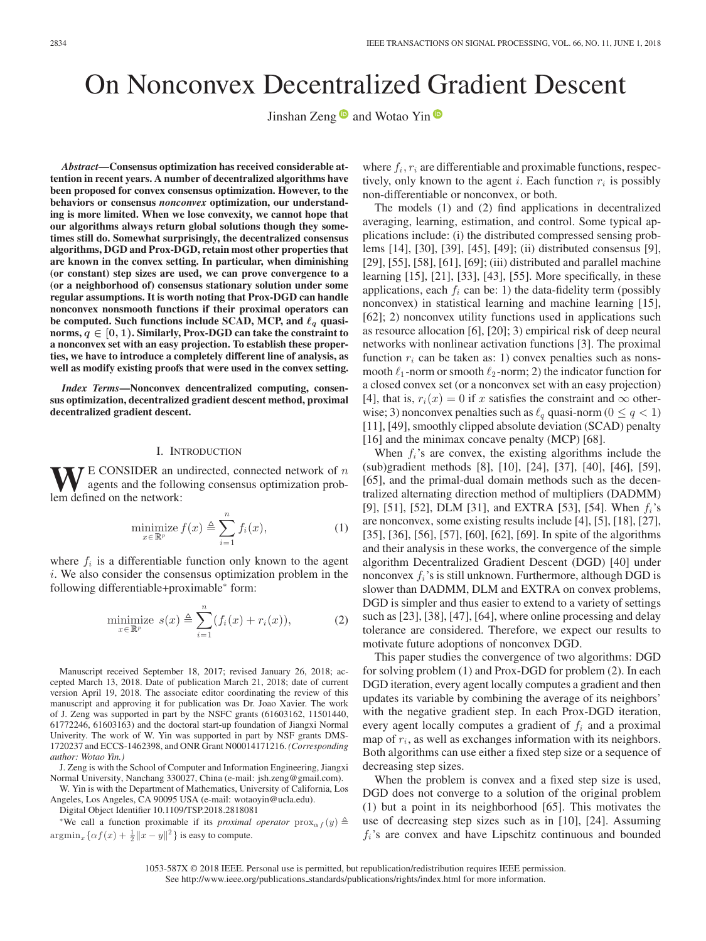# On Nonconvex Decentralized Gradient Descent

Jinshan Zeng  $\bullet$  and Wotao Yin  $\bullet$ 

*Abstract***—Consensus optimization has received considerable attention in recent years. A number of decentralized algorithms have been proposed for convex consensus optimization. However, to the behaviors or consensus** *nonconvex* **optimization, our understanding is more limited. When we lose convexity, we cannot hope that our algorithms always return global solutions though they sometimes still do. Somewhat surprisingly, the decentralized consensus algorithms, DGD and Prox-DGD, retain most other properties that are known in the convex setting. In particular, when diminishing (or constant) step sizes are used, we can prove convergence to a (or a neighborhood of) consensus stationary solution under some regular assumptions. It is worth noting that Prox-DGD can handle nonconvex nonsmooth functions if their proximal operators can** be computed. Such functions include SCAD, MCP, and  $\ell_q$  quasi**norms,** *<sup>q</sup> <sup>∈</sup>* **[0***,* **1). Similarly, Prox-DGD can take the constraint to a nonconvex set with an easy projection. To establish these properties, we have to introduce a completely different line of analysis, as well as modify existing proofs that were used in the convex setting.**

*Index Terms***—Nonconvex dencentralized computing, consensus optimization, decentralized gradient descent method, proximal decentralized gradient descent.**

#### I. INTRODUCTION

 $\mathbf{V}$  E CONSIDER an undirected, connected network of  $n$ agents and the following consensus optimization problem defined on the network:

$$
\underset{x \in \mathbb{R}^p}{\text{minimize}} \, f(x) \triangleq \sum_{i=1}^n f_i(x),\tag{1}
$$

where  $f_i$  is a differentiable function only known to the agent i. We also consider the consensus optimization problem in the following differentiable+proximable<sup>∗</sup> form:

$$
\underset{x \in \mathbb{R}^p}{\text{minimize}} \ s(x) \triangleq \sum_{i=1}^n (f_i(x) + r_i(x)), \tag{2}
$$

Manuscript received September 18, 2017; revised January 26, 2018; accepted March 13, 2018. Date of publication March 21, 2018; date of current version April 19, 2018. The associate editor coordinating the review of this manuscript and approving it for publication was Dr. Joao Xavier. The work of J. Zeng was supported in part by the NSFC grants (61603162, 11501440, 61772246, 61603163) and the doctoral start-up foundation of Jiangxi Normal Univerity. The work of W. Yin was supported in part by NSF grants DMS-1720237 and ECCS-1462398, and ONR Grant N00014171216. *(Corresponding author: Wotao Yin.)*

J. Zeng is with the School of Computer and Information Engineering, Jiangxi Normal University, Nanchang 330027, China (e-mail: jsh.zeng@gmail.com).

W. Yin is with the Department of Mathematics, University of California, Los Angeles, Los Angeles, CA 90095 USA (e-mail: wotaoyin@ucla.edu).

Digital Object Identifier 10.1109/TSP.2018.2818081

\*We call a function proximable if its *proximal operator*  $prox_{\alpha} f(y) \triangleq$  $\operatorname{argmin}_x {\alpha f(x) + \frac{1}{2} ||x - y||^2}$  is easy to compute.

where  $f_i, r_i$  are differentiable and proximable functions, respectively, only known to the agent i. Each function  $r_i$  is possibly non-differentiable or nonconvex, or both.

The models (1) and (2) find applications in decentralized averaging, learning, estimation, and control. Some typical applications include: (i) the distributed compressed sensing problems [14], [30], [39], [45], [49]; (ii) distributed consensus [9], [29], [55], [58], [61], [69]; (iii) distributed and parallel machine learning [15], [21], [33], [43], [55]. More specifically, in these applications, each  $f_i$  can be: 1) the data-fidelity term (possibly nonconvex) in statistical learning and machine learning [15], [62]; 2) nonconvex utility functions used in applications such as resource allocation [6], [20]; 3) empirical risk of deep neural networks with nonlinear activation functions [3]. The proximal function  $r_i$  can be taken as: 1) convex penalties such as nonsmooth  $\ell_1$ -norm or smooth  $\ell_2$ -norm; 2) the indicator function for a closed convex set (or a nonconvex set with an easy projection) [4], that is,  $r_i(x)=0$  if x satisfies the constraint and  $\infty$  otherwise; 3) nonconvex penalties such as  $\ell_q$  quasi-norm ( $0 \leq q < 1$ ) [11], [49], smoothly clipped absolute deviation (SCAD) penalty [16] and the minimax concave penalty (MCP) [68].

When  $f_i$ 's are convex, the existing algorithms include the (sub)gradient methods [8], [10], [24], [37], [40], [46], [59], [65], and the primal-dual domain methods such as the decentralized alternating direction method of multipliers (DADMM) [9], [51], [52], DLM [31], and EXTRA [53], [54]. When  $f_i$ 's are nonconvex, some existing results include [4], [5], [18], [27], [35], [36], [56], [57], [60], [62], [69]. In spite of the algorithms and their analysis in these works, the convergence of the simple algorithm Decentralized Gradient Descent (DGD) [40] under nonconvex  $f_i$ 's is still unknown. Furthermore, although DGD is slower than DADMM, DLM and EXTRA on convex problems, DGD is simpler and thus easier to extend to a variety of settings such as [23], [38], [47], [64], where online processing and delay tolerance are considered. Therefore, we expect our results to motivate future adoptions of nonconvex DGD.

This paper studies the convergence of two algorithms: DGD for solving problem (1) and Prox-DGD for problem (2). In each DGD iteration, every agent locally computes a gradient and then updates its variable by combining the average of its neighbors' with the negative gradient step. In each Prox-DGD iteration, every agent locally computes a gradient of  $f_i$  and a proximal map of  $r_i$ , as well as exchanges information with its neighbors. Both algorithms can use either a fixed step size or a sequence of decreasing step sizes.

When the problem is convex and a fixed step size is used, DGD does not converge to a solution of the original problem (1) but a point in its neighborhood [65]. This motivates the use of decreasing step sizes such as in [10], [24]. Assuming  $f_i$ 's are convex and have Lipschitz continuous and bounded

<sup>1053-587</sup>X © 2018 IEEE. Personal use is permitted, but republication/redistribution requires IEEE permission. See http://www.ieee.org/publications standards/publications/rights/index.html for more information.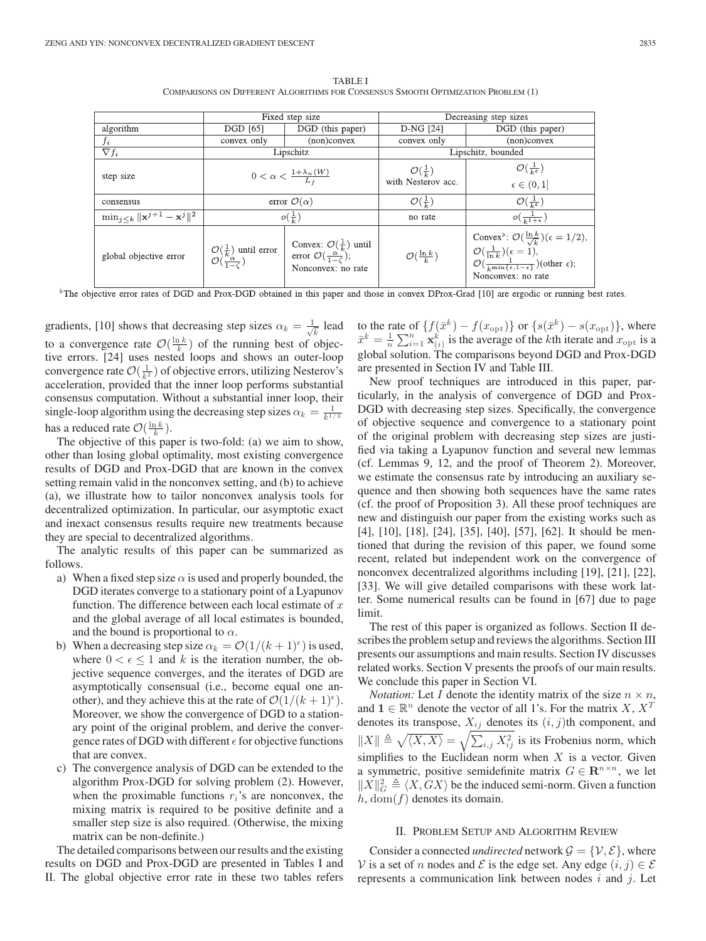TABLE I COMPARISONS ON DIFFERENT ALGORITHMS FOR CONSENSUS SMOOTH OPTIMIZATION PROBLEM (1)

|                                                           |                                                                                     | Fixed step size                                                                                                 | Decreasing step sizes          |                                                                                                                                                                                                                                                         |  |  |
|-----------------------------------------------------------|-------------------------------------------------------------------------------------|-----------------------------------------------------------------------------------------------------------------|--------------------------------|---------------------------------------------------------------------------------------------------------------------------------------------------------------------------------------------------------------------------------------------------------|--|--|
| algorithm                                                 | DGD [65]                                                                            | DGD (this paper)                                                                                                | D-NG [24]                      | DGD (this paper)                                                                                                                                                                                                                                        |  |  |
| $f_i$                                                     | convex only                                                                         | $(non)$ convex<br>convex only                                                                                   |                                | (non)convex                                                                                                                                                                                                                                             |  |  |
| $\nabla f_i$                                              |                                                                                     | Lipschitz                                                                                                       | Lipschitz, bounded             |                                                                                                                                                                                                                                                         |  |  |
| step size                                                 |                                                                                     | $0 < \alpha < \frac{1 + \lambda_n(W)}{L_f}$                                                                     | $\mathcal{O}(\frac{1}{k})$     | $\mathcal{O}(\frac{1}{k^{\epsilon}})$                                                                                                                                                                                                                   |  |  |
|                                                           |                                                                                     |                                                                                                                 | with Nesterov acc.             | $\epsilon \in (0,1]$                                                                                                                                                                                                                                    |  |  |
| consensus                                                 |                                                                                     | error $\mathcal{O}(\alpha)$                                                                                     | $\mathcal{O}(\frac{1}{k})$     | $\mathcal{O}(\frac{1}{k^{\epsilon}})$                                                                                                                                                                                                                   |  |  |
| $\min_{j \leq k}   \mathbf{x}^{j+1} - \mathbf{x}^{j}  ^2$ |                                                                                     | $o(\frac{1}{k})$                                                                                                | no rate                        | $o(\frac{1}{k^{1+\epsilon}})$                                                                                                                                                                                                                           |  |  |
| global objective error                                    | $\mathcal{O}(\frac{1}{k})$ until error<br>$\mathcal{O}(\frac{n_{\alpha}}{1-\zeta})$ | Convex: $\mathcal{O}(\frac{1}{k})$ until<br>error $\mathcal{O}(\frac{\alpha}{1-\zeta})$ ;<br>Nonconvex: no rate | $\mathcal{O}(\frac{\ln k}{k})$ | Convex <sup>b</sup> : $\mathcal{O}(\frac{\ln k}{\sqrt{k}})(\epsilon = 1/2),$<br>$\mathcal{O}(\frac{1}{\ln k})(\epsilon = 1),$<br>$\mathcal{O}(\frac{1}{k^{\min{\lbrace \epsilon, 1-\epsilon \rbrace}}})(\text{other } \epsilon);$<br>Nonconvex: no rate |  |  |

 $\overline{\phantom{a}}^{\text{b}}$ The objective error rates of DGD and Prox-DGD obtained in this paper and those in convex DProx-Grad [10] are ergodic or running best rates.

gradients, [10] shows that decreasing step sizes  $\alpha_k = \frac{1}{\sqrt{k}}$  lead to a convergence rate  $\mathcal{O}(\frac{\ln k}{k})$  of the running best of objective errors. [24] uses nested loops and shows an outer-loop convergence rate  $\mathcal{O}(\frac{1}{k^2})$  of objective errors, utilizing Nesterov's acceleration, provided that the inner loop performs substantial consensus computation. Without a substantial inner loop, their single-loop algorithm using the decreasing step sizes  $\alpha_k = \frac{1}{k^{1/3}}$ has a reduced rate  $\mathcal{O}(\frac{\ln k}{k})$ .

The objective of this paper is two-fold: (a) we aim to show, other than losing global optimality, most existing convergence results of DGD and Prox-DGD that are known in the convex setting remain valid in the nonconvex setting, and (b) to achieve (a), we illustrate how to tailor nonconvex analysis tools for decentralized optimization. In particular, our asymptotic exact and inexact consensus results require new treatments because they are special to decentralized algorithms.

The analytic results of this paper can be summarized as follows.

- a) When a fixed step size  $\alpha$  is used and properly bounded, the DGD iterates converge to a stationary point of a Lyapunov function. The difference between each local estimate of  $x$ and the global average of all local estimates is bounded, and the bound is proportional to  $\alpha$ .
- b) When a decreasing step size  $\alpha_k = \mathcal{O}(1/(k+1)^{\epsilon})$  is used, where  $0 < \epsilon \leq 1$  and k is the iteration number, the objective sequence converges, and the iterates of DGD are asymptotically consensual (i.e., become equal one another), and they achieve this at the rate of  $\mathcal{O}(1/(k+1)^{\epsilon})$ . Moreover, we show the convergence of DGD to a stationary point of the original problem, and derive the convergence rates of DGD with different  $\epsilon$  for objective functions that are convex.
- c) The convergence analysis of DGD can be extended to the algorithm Prox-DGD for solving problem (2). However, when the proximable functions  $r_i$ 's are nonconvex, the mixing matrix is required to be positive definite and a smaller step size is also required. (Otherwise, the mixing matrix can be non-definite.)

The detailed comparisons between our results and the existing results on DGD and Prox-DGD are presented in Tables I and II. The global objective error rate in these two tables refers

to the rate of  $\{f(\bar{x}^k) - f(x_{\text{opt}})\}\$  or  $\{s(\bar{x}^k) - s(x_{\text{opt}})\}\)$ , where  $\bar{x}^k = \frac{1}{n} \sum_{i=1}^n \mathbf{x}_k^k$  is the average of the kth iterate and  $x_{\text{opt}}$  is a clobal solution. The comparisons beyond DGD and Prox DGD global solution. The comparisons beyond DGD and Prox-DGD are presented in Section IV and Table III.

New proof techniques are introduced in this paper, particularly, in the analysis of convergence of DGD and Prox-DGD with decreasing step sizes. Specifically, the convergence of objective sequence and convergence to a stationary point of the original problem with decreasing step sizes are justified via taking a Lyapunov function and several new lemmas (cf. Lemmas 9, 12, and the proof of Theorem 2). Moreover, we estimate the consensus rate by introducing an auxiliary sequence and then showing both sequences have the same rates (cf. the proof of Proposition 3). All these proof techniques are new and distinguish our paper from the existing works such as [4], [10], [18], [24], [35], [40], [57], [62]. It should be mentioned that during the revision of this paper, we found some recent, related but independent work on the convergence of nonconvex decentralized algorithms including [19], [21], [22], [33]. We will give detailed comparisons with these work latter. Some numerical results can be found in [67] due to page limit.

The rest of this paper is organized as follows. Section II describes the problem setup and reviews the algorithms. Section III presents our assumptions and main results. Section IV discusses related works. Section V presents the proofs of our main results. We conclude this paper in Section VI.

*Notation:* Let I denote the identity matrix of the size  $n \times n$ , and  $\mathbf{1} \in \mathbb{R}^n$  denote the vector of all 1's. For the matrix X,  $X^T$ denotes its transpose,  $X_{ij}$  denotes its  $(i, j)$ th component, and  $||X|| \triangleq \sqrt{\langle X, X \rangle} = \sqrt{\sum_{i,j} X_{ij}^2}$  is its Frobenius norm, which simplifies to the Euclidean norm when  $X$  is a vector. Given a symmetric, positive semidefinite matrix  $G \in \mathbb{R}^{n \times n}$ , we let  $||X||_G^2 \triangleq \langle X, GX \rangle$  be the induced semi-norm. Given a function  $h, dom(f)$  denotes its domain.

# II. PROBLEM SETUP AND ALGORITHM REVIEW

Consider a connected *undirected* network  $\mathcal{G} = \{V, \mathcal{E}\}\$ , where V is a set of n nodes and E is the edge set. Any edge  $(i, j) \in \mathcal{E}$ represents a communication link between nodes  $i$  and  $j$ . Let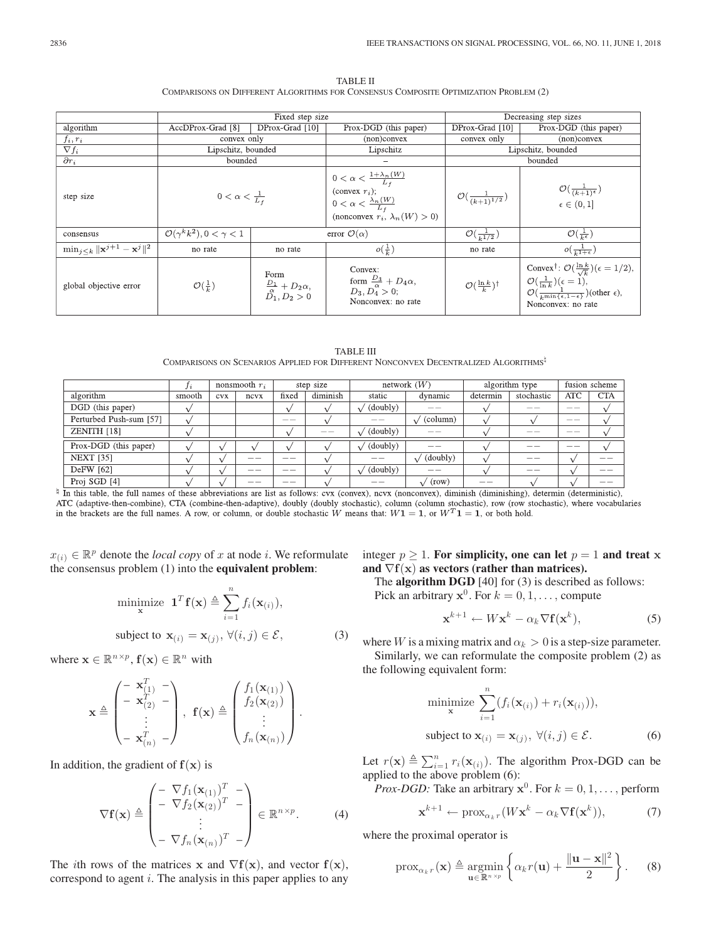| <b>TABLE II</b>                                                                      |  |  |  |  |  |  |  |  |
|--------------------------------------------------------------------------------------|--|--|--|--|--|--|--|--|
| COMPARISONS ON DIFFERENT ALGORITHMS FOR CONSENSUS COMPOSITE OPTIMIZATION PROBLEM (2) |  |  |  |  |  |  |  |  |

|                                                           |                                             | Fixed step size                                                      | Decreasing step sizes                                                                                                                           |                                          |                                                                                                                                                                                                                                   |  |  |  |  |
|-----------------------------------------------------------|---------------------------------------------|----------------------------------------------------------------------|-------------------------------------------------------------------------------------------------------------------------------------------------|------------------------------------------|-----------------------------------------------------------------------------------------------------------------------------------------------------------------------------------------------------------------------------------|--|--|--|--|
| algorithm                                                 | AccDProx-Grad [8]<br>DProx-Grad [10]        |                                                                      | Prox-DGD (this paper)                                                                                                                           | DProx-Grad [10]                          | Prox-DGD (this paper)                                                                                                                                                                                                             |  |  |  |  |
| $f_i, r_i$                                                | convex only                                 |                                                                      | (non)convex                                                                                                                                     | convex only                              | (non)convex                                                                                                                                                                                                                       |  |  |  |  |
| $\nabla f_i$                                              | Lipschitz, bounded                          |                                                                      | Lipschitz                                                                                                                                       | Lipschitz, bounded                       |                                                                                                                                                                                                                                   |  |  |  |  |
| $\overline{\partial} r_i$                                 | bounded                                     |                                                                      |                                                                                                                                                 | bounded                                  |                                                                                                                                                                                                                                   |  |  |  |  |
| step size                                                 | $0 < \alpha < \frac{1}{L_f}$                |                                                                      | $0<\alpha<\frac{1+\lambda_n(W)}{L_f}$<br>(convex $r_i$ );<br>$0 < \alpha < \frac{\lambda_n(W)}{L_f}$<br>(nonconvex $r_i$ , $\lambda_n(W) > 0$ ) | $\mathcal{O}(\frac{1}{(k+1)^{1/2}})$     | $\mathcal{O}(\frac{1}{(k+1)^{\epsilon}})$<br>$\epsilon \in (0,1]$                                                                                                                                                                 |  |  |  |  |
| consensus                                                 | $\mathcal{O}(\gamma^k k^2), 0 < \gamma < 1$ |                                                                      | error $\mathcal{O}(\alpha)$                                                                                                                     | $\mathcal{O}(\frac{1}{k^{1/2}})$         | $\mathcal{O}(\frac{1}{k^{\epsilon}})$                                                                                                                                                                                             |  |  |  |  |
| $\min_{j \leq k}   \mathbf{x}^{j+1} - \mathbf{x}^{j}  ^2$ | no rate                                     | no rate                                                              | $o(\frac{1}{k})$                                                                                                                                | no rate                                  | $o(\frac{1}{k^1+\epsilon})$                                                                                                                                                                                                       |  |  |  |  |
| global objective error                                    | $\mathcal{O}(\frac{1}{k})$                  | Form<br>$\frac{D_1}{\stackrel{\alpha}{D_1}},\frac{D_2\alpha}{D_2}>0$ | Convex:<br>form $\frac{D_3}{\alpha} + D_4 \alpha$ ,<br>$D_3, D_4 > 0;$<br>Nonconvex: no rate                                                    | $\mathcal{O}(\frac{\ln k}{k})^{\dagger}$ | Convex <sup>†</sup> : $\mathcal{O}(\frac{\ln k}{\sqrt{k}})(\epsilon = 1/2),$<br>$\mathcal{O}(\frac{1}{\ln k})(\epsilon=1),$<br>$\mathcal{O}(\frac{1}{k \min\{\epsilon, 1-\epsilon\}})$ (other $\epsilon$ ),<br>Nonconvex: no rate |  |  |  |  |

TABLE III COMPARISONS ON SCENARIOS APPLIED FOR DIFFERENT NONCONVEX DECENTRALIZED ALGORITHMS

|                                 |                    |               | nonsmooth $r_i$     | step size |          | network $(W)$ |                   | algorithm type |            | fusion scheme |                |
|---------------------------------|--------------------|---------------|---------------------|-----------|----------|---------------|-------------------|----------------|------------|---------------|----------------|
| algorithm                       | smooth             | <b>CVX</b>    | ncvx                | fixed     | diminish | static        | dynamic           | determin       | stochastic | ATC           | <b>CTA</b>     |
| DGD (this paper)                |                    |               |                     |           |          | (doubly)      |                   |                |            |               |                |
| Perturbed Push-sum [57]         |                    |               |                     | __        |          |               | (column)          |                |            | __            |                |
| ZENITH [18]                     |                    |               |                     |           | __       | (doubly)      |                   |                | ___        | __            |                |
| Prox-DGD (this paper)           |                    |               |                     |           |          | $'$ (doubly)  |                   |                |            | __            |                |
| <b>NEXT [35]</b>                |                    |               |                     |           |          |               | $\sqrt{$ (doubly) |                |            |               |                |
| DeFW [62]                       |                    |               | __                  | __        |          | $'$ (doubly)  |                   |                | __         |               | --             |
| Proj SGD [4]<br>_ _ _ _ _ _ _ _ | $\sim$ $\sim$<br>. | $\sim$ $\sim$ | --<br>$\rightarrow$ | --<br>.   |          | __            | (row)             | __             |            | .             | __<br>$\cdots$ |

 $\frac{1}{2}$  In this table, the full names of these abbreviations are list as follows: cvx (convex), ncvx (nonconvex), diminish (diminishing), determin (deterministic), ATC (adaptive-then-combine), CTA (combine-then-adaptive), doubly (doubly stochastic), column (column stochastic), row (row stochastic), where vocabularies in the brackets are the full names. A row, or column, or double stochastic W means that:  $W1 = 1$ , or  $W<sup>T</sup>1 = 1$ , or both hold.

 $x_{(i)} \in \mathbb{R}^p$  denote the *local copy* of x at node i. We reformulate the consensus problem (1) into the **equivalent problem**:

$$
\begin{aligned}\n\text{minimize } \mathbf{1}^T \mathbf{f}(\mathbf{x}) &\triangleq \sum_{i=1}^n f_i(\mathbf{x}_{(i)}), \\
\text{subject to } \mathbf{x}_{(i)} = \mathbf{x}_{(j)}, \forall (i, j) \in \mathcal{E},\n\end{aligned} \tag{3}
$$

where  $\mathbf{x} \in \mathbb{R}^{n \times p}$ ,  $\mathbf{f}(\mathbf{x}) \in \mathbb{R}^{n}$  with

$$
\mathbf{x} \triangleq \begin{pmatrix} -\mathbf{x}_{(1)}^T & - \\ -\mathbf{x}_{(2)}^T & - \\ \vdots & \vdots \\ -\mathbf{x}_{(n)}^T & - \end{pmatrix}, \ \mathbf{f}(\mathbf{x}) \triangleq \begin{pmatrix} f_1(\mathbf{x}_{(1)}) \\ f_2(\mathbf{x}_{(2)}) \\ \vdots \\ f_n(\mathbf{x}_{(n)}) \end{pmatrix}.
$$

In addition, the gradient of  $f(x)$  is

$$
\nabla \mathbf{f}(\mathbf{x}) \triangleq \begin{pmatrix} -\nabla f_1(\mathbf{x}_{(1)})^T & - \\ -\nabla f_2(\mathbf{x}_{(2)})^T & - \\ \vdots & \vdots \\ -\nabla f_n(\mathbf{x}_{(n)})^T & - \end{pmatrix} \in \mathbb{R}^{n \times p}.
$$
 (4)

The *i*th rows of the matrices **x** and  $\nabla$ **f**(**x**), and vector **f**(**x**), correspond to agent *i*. The analysis in this paper applies to any integer  $p \ge 1$ . For simplicity, one can let  $p = 1$  and treat **x** and  $\nabla f(x)$  as vectors (rather than matrices).

The **algorithm DGD** [40] for (3) is described as follows: Pick an arbitrary  $x^0$ . For  $k = 0, 1, \ldots$ , compute

$$
\mathbf{x}^{k+1} \leftarrow W\mathbf{x}^k - \alpha_k \nabla \mathbf{f}(\mathbf{x}^k),\tag{5}
$$

where W is a mixing matrix and  $\alpha_k > 0$  is a step-size parameter. Similarly, we can reformulate the composite problem (2) as the following equivalent form:

$$
\begin{aligned}\n\text{minimize } & \sum_{i=1}^{n} (f_i(\mathbf{x}_{(i)}) + r_i(\mathbf{x}_{(i)})), \\
\text{subject to } & \mathbf{x}_{(i)} = \mathbf{x}_{(j)}, \ \forall (i, j) \in \mathcal{E}.\n\end{aligned} \tag{6}
$$

Let  $r(\mathbf{x}) \triangleq \sum_{i=1}^{n} r_i(\mathbf{x}_{(i)})$ . The algorithm Prox-DGD can be applied to the above problem (6) applied to the above problem (6):

*Prox-DGD:* Take an arbitrary  $x^0$ . For  $k = 0, 1, \ldots$ , perform

$$
\mathbf{x}^{k+1} \leftarrow \text{prox}_{\alpha_k r}(W\mathbf{x}^k - \alpha_k \nabla \mathbf{f}(\mathbf{x}^k)),\tag{7}
$$

where the proximal operator is

$$
\operatorname{prox}_{\alpha_k r}(\mathbf{x}) \triangleq \operatorname*{argmin}_{\mathbf{u} \in \mathbb{R}^{n \times p}} \left\{ \alpha_k r(\mathbf{u}) + \frac{\|\mathbf{u} - \mathbf{x}\|^2}{2} \right\}.
$$
 (8)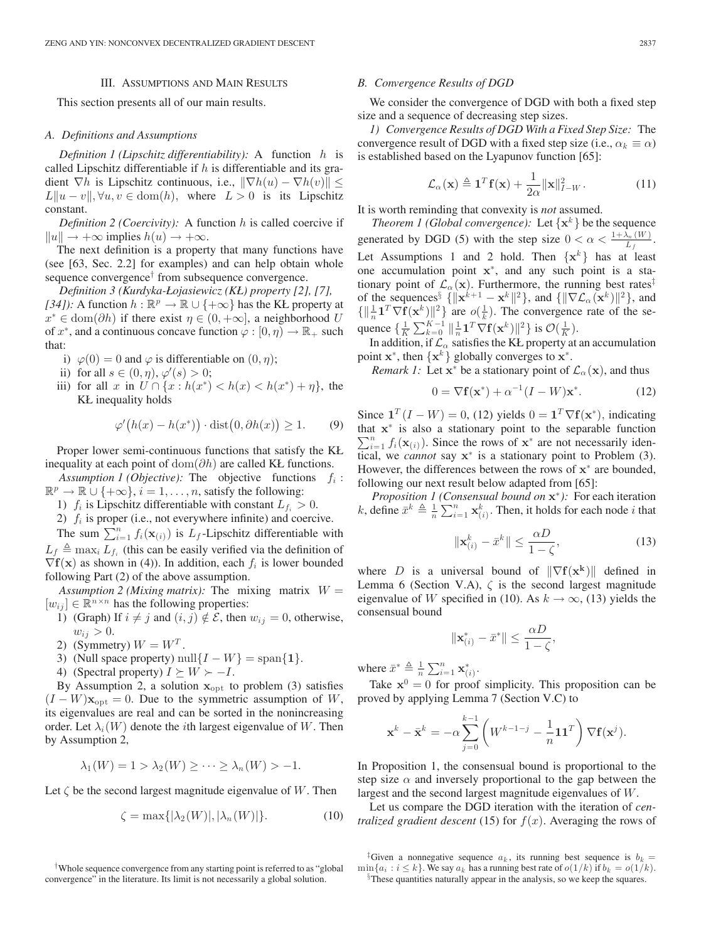# III. ASSUMPTIONS AND MAIN RESULTS

This section presents all of our main results.

# *A. Definitions and Assumptions*

*Definition 1 (Lipschitz differentiability):* A function h is called Lipschitz differentiable if  $h$  is differentiable and its gradient  $\nabla h$  is Lipschitz continuous, i.e.,  $\|\nabla h(u) - \nabla h(v)\|$  $L\|u - v\|, \forall u, v \in \text{dom}(h)$ , where  $L > 0$  is its Lipschitz constant.

*Definition 2 (Coercivity):* A function h is called coercive if  $||u|| \rightarrow +\infty$  implies  $h(u) \rightarrow +\infty$ .

The next definition is a property that many functions have (see [63, Sec. 2.2] for examples) and can help obtain whole sequence convergence<sup>†</sup> from subsequence convergence.

*Definition 3 (Kurdyka-Łojasiewicz (KŁ) property [2], [7], [34]):* A function  $h : \mathbb{R}^p \to \mathbb{R} \cup \{+\infty\}$  has the KŁ property at  $x^* \in \text{dom}(\partial h)$  if there exist  $\eta \in (0, +\infty]$ , a neighborhood U of  $x^*$ , and a continuous concave function  $\varphi : [0, \eta) \to \mathbb{R}_+$  such that:

- i)  $\varphi(0) = 0$  and  $\varphi$  is differentiable on  $(0, \eta)$ ;
- ii) for all  $s \in (0, \eta), \varphi'(s) > 0;$
- iii) for all x in  $U \cap \{x : h(x^*) < h(x) < h(x^*) + \eta\}$ , the KŁ inequality holds

$$
\varphi'(h(x) - h(x^*)) \cdot \text{dist}(0, \partial h(x)) \ge 1. \qquad (9)
$$

Proper lower semi-continuous functions that satisfy the KŁ inequality at each point of  $dom(\partial h)$  are called KŁ functions.

*Assumption 1 (Objective):* The objective functions  $f_i$ :  $\mathbb{R}^p \to \mathbb{R} \cup \{+\infty\}, i = 1, \ldots, n$ , satisfy the following:

- 1)  $f_i$  is Lipschitz differentiable with constant  $L_{f_i} > 0$ .
- 2)  $f_i$  is proper (i.e., not everywhere infinite) and coercive.

The sum  $\sum_{i=1}^{n} f_i(\mathbf{x}_{(i)})$  is  $L_f$ -Lipschitz differentiable with  $\triangle$  more  $L_f$  (this can be essily verified via the definition of  $L_f \triangleq \max_i L_{f_i}$  (this can be easily verified via the definition of  $\nabla$ **f**(**x**) as shown in (4)). In addition, each  $f_i$  is lower bounded following Part (2) of the above assumption.

*Assumption 2 (Mixing matrix):* The mixing matrix  $W =$  $[w_{ij}] \in \mathbb{R}^{n \times n}$  has the following properties:

- 1) (Graph) If  $i \neq j$  and  $(i, j) \notin \mathcal{E}$ , then  $w_{ij} = 0$ , otherwise,  $w_{ij} > 0.$
- 2) (Symmetry)  $W = W<sup>T</sup>$ .
- 3) (Null space property) null $\{I W\} = \text{span}\{\mathbf{1}\}.$
- 4) (Spectral property)  $I \succeq W \succ -I$ .

By Assumption 2, a solution  $x_{opt}$  to problem (3) satisfies  $(I - W)\mathbf{x}_{opt} = 0$ . Due to the symmetric assumption of W, its eigenvalues are real and can be sorted in the nonincreasing order. Let  $\lambda_i(W)$  denote the *i*th largest eigenvalue of W. Then by Assumption 2,

$$
\lambda_1(W) = 1 > \lambda_2(W) \ge \cdots \ge \lambda_n(W) > -1.
$$

Let  $\zeta$  be the second largest magnitude eigenvalue of W. Then

$$
\zeta = \max\{|\lambda_2(W)|, |\lambda_n(W)|\}.\tag{10}
$$

#### *B. Convergence Results of DGD*

We consider the convergence of DGD with both a fixed step size and a sequence of decreasing step sizes.

*1) Convergence Results of DGD With a Fixed Step Size:* The convergence result of DGD with a fixed step size (i.e.,  $\alpha_k \equiv \alpha$ ) is established based on the Lyapunov function [65]:

$$
\mathcal{L}_{\alpha}(\mathbf{x}) \triangleq \mathbf{1}^T \mathbf{f}(\mathbf{x}) + \frac{1}{2\alpha} ||\mathbf{x}||_{I-W}^2.
$$
 (11)

It is worth reminding that convexity is *not* assumed.

*Theorem 1 (Global convergence):* Let  $\{x^k\}$  be the sequence generated by DGD (5) with the step size  $0 < \alpha < \frac{1 + \lambda_n(W)}{L_f}$ . Let Assumptions 1 and 2 hold. Then  $\{x^k\}$  has at least one accumulation point **x**∗, and any such point is a stationary point of  $\mathcal{L}_{\alpha}(\mathbf{x})$ . Furthermore, the running best rates<sup>‡</sup> of the sequences<sup>§</sup> { $\|\mathbf{x}^{k+1} - \mathbf{x}^{k}\|^2$ }, and { $\|\nabla \mathcal{L}_{\alpha}(\mathbf{x}^k)\|^2$ }, and  ${\begin{bmatrix} \frac{1}{n} \mathbf{1}^T \nabla \mathbf{f}(\mathbf{x}^k) \end{bmatrix}^2}$  are  $o(\frac{1}{k})$ . The convergence rate of the sequence  $\{\frac{1}{K} \sum_{k=0}^{K-1} ||\frac{1}{n} \mathbf{1}^T \nabla \mathbf{f}(\mathbf{x}^k) ||^2\}$  is  $\mathcal{O}(\frac{1}{K})$ .<br>In addition if  $\mathcal{L}$  satisfies the KL property at

In addition, if  $\mathcal{L}_{\alpha}$  satisfies the KŁ property at an accumulation point  $\mathbf{x}^*$ , then  $\{\mathbf{x}^k\}$  globally converges to  $\mathbf{x}^*$ .

*Remark 1:* Let  $x^*$  be a stationary point of  $\mathcal{L}_{\alpha}(x)$ , and thus

$$
0 = \nabla \mathbf{f}(\mathbf{x}^*) + \alpha^{-1} (I - W)\mathbf{x}^*.
$$
 (12)

Since  $\mathbf{1}^T (I - W) = 0$ , (12) yields  $0 = \mathbf{1}^T \nabla f(\mathbf{x}^*)$ , indicating that  $\mathbf{x}^*$  is also a stationary point to the separable function  $\sum_{n=1}^{n} f(\mathbf{x}_n)$ . Since the rows of  $\mathbf{x}^*$  are not necessarily iden- $\sum_{i=1}^{n} f_i(\mathbf{x}_{(i)})$ . Since the rows of **x**<sup>∗</sup> are not necessarily identical we cannot say **x**<sup>∗</sup> is a stationary point to Problem (3) tical, we *cannot* say **x**<sup>∗</sup> is a stationary point to Problem (3). However, the differences between the rows of **<sup>x</sup>**<sup>∗</sup> are bounded, following our next result below adapted from [65]:

*Proposition 1 (Consensual bound on* **<sup>x</sup>**<sup>∗</sup>*):* For each iteration k, define  $\bar{x}^k \triangleq \frac{1}{n} \sum_{i=1}^n \mathbf{x}_{(i)}^k$ . Then, it holds for each node i that

$$
\|\mathbf{x}_{(i)}^k - \bar{x}^k\| \le \frac{\alpha D}{1 - \zeta},\tag{13}
$$

where D is a universal bound of  $\|\nabla f(\mathbf{x}^k)\|$  defined in Lemma 6 (Section V.A),  $\zeta$  is the second largest magnitude eigenvalue of W specified in (10). As  $k \to \infty$ , (13) yields the consensual bound

$$
\|\mathbf{x}_{(i)}^* - \bar{x}^*\| \le \frac{\alpha D}{1 - \zeta},
$$

where  $\bar{x}^* \triangleq \frac{1}{n} \sum_{i=1}^n \mathbf{x}_{(i)}^*$ .

Take  $x^0 = 0$  for proof simplicity. This proposition can be proved by applying Lemma 7 (Section V.C) to

$$
\mathbf{x}^k - \bar{\mathbf{x}}^k = -\alpha \sum_{j=0}^{k-1} \left( W^{k-1-j} - \frac{1}{n} \mathbf{1} \mathbf{1}^T \right) \nabla \mathbf{f}(\mathbf{x}^j).
$$

In Proposition 1, the consensual bound is proportional to the step size  $\alpha$  and inversely proportional to the gap between the largest and the second largest magnitude eigenvalues of W.

Let us compare the DGD iteration with the iteration of *centralized gradient descent* (15) for  $f(x)$ . Averaging the rows of

<sup>†</sup>Whole sequence convergence from any starting point is referred to as "global convergence" in the literature. Its limit is not necessarily a global solution.

<sup>&</sup>lt;sup>‡</sup>Given a nonnegative sequence  $a_k$ , its running best sequence is  $b_k = \min\{a_i : i \leq k\}$ . We say  $a_k$  has a running best rate of  $o(1/k)$  if  $b_k = o(1/k)$ .

 $\delta$ These quantities naturally appear in the analysis, so we keep the squares.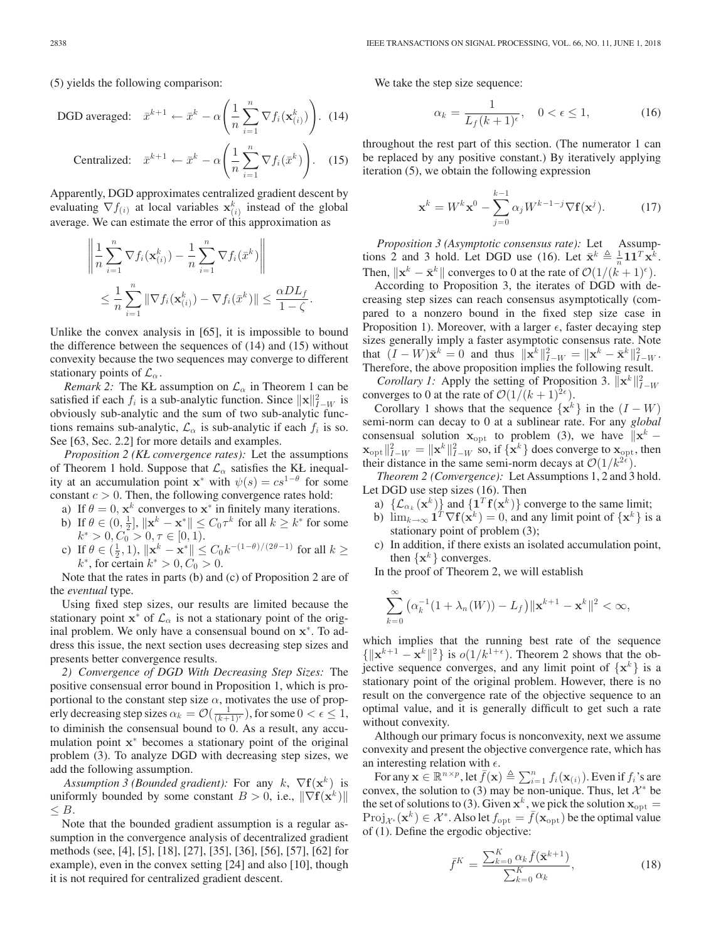(5) yields the following comparison:

DGD averaged: 
$$
\bar{x}^{k+1} \leftarrow \bar{x}^k - \alpha \left( \frac{1}{n} \sum_{i=1}^n \nabla f_i(\mathbf{x}_{(i)}^k) \right)
$$
. (14)

Centralized: 
$$
\bar{x}^{k+1} \leftarrow \bar{x}^k - \alpha \left( \frac{1}{n} \sum_{i=1}^n \nabla f_i(\bar{x}^k) \right)
$$
. (15)

Apparently, DGD approximates centralized gradient descent by evaluating  $\nabla f_{(i)}$  at local variables  $\mathbf{x}_{(i)}^k$  instead of the global average. We can estimate the error of this approximation as average. We can estimate the error of this approximation as

$$
\left\| \frac{1}{n} \sum_{i=1}^n \nabla f_i(\mathbf{x}_{(i)}^k) - \frac{1}{n} \sum_{i=1}^n \nabla f_i(\bar{x}^k) \right\|
$$
  

$$
\leq \frac{1}{n} \sum_{i=1}^n \left\| \nabla f_i(\mathbf{x}_{(i)}^k) - \nabla f_i(\bar{x}^k) \right\| \leq \frac{\alpha D L_f}{1 - \zeta}.
$$

Unlike the convex analysis in [65], it is impossible to bound the difference between the sequences of (14) and (15) without convexity because the two sequences may converge to different stationary points of  $\mathcal{L}_{\alpha}$ .

*Remark 2:* The KŁ assumption on  $\mathcal{L}_{\alpha}$  in Theorem 1 can be satisfied if each  $f_i$  is a sub-analytic function. Since  $\|\mathbf{x}\|_{1-\mathcal{W}}^2$  is<br>obviously sub-analytic and the sum of two sub-analytic funcobviously sub-analytic and the sum of two sub-analytic functions remains sub-analytic,  $\mathcal{L}_{\alpha}$  is sub-analytic if each  $f_i$  is so. See [63, Sec. 2.2] for more details and examples.

*Proposition 2 (KŁ convergence rates):* Let the assumptions of Theorem 1 hold. Suppose that  $\mathcal{L}_{\alpha}$  satisfies the KŁ inequality at an accumulation point **x**<sup>∗</sup> with  $\psi(s) = cs^{1-\theta}$  for some constant  $c > 0$ . Then, the following convergence rates hold:

- a) If  $\theta = 0$ ,  $\mathbf{x}^k$  converges to  $\mathbf{x}^*$  in finitely many iterations.
- b) If  $\theta \in (0, \frac{1}{2}], ||\mathbf{x}^k \mathbf{x}^*|| \le C_0 \tau^k$  for all  $k \ge k^*$  for some  $k^* > 0$ ,  $C_0 > 0$ ,  $\tau \in [0, 1)$  $k^* > 0, C_0 > 0, \tau \in [0, 1).$
- c) If  $\theta \in (\frac{1}{2}, 1)$ ,  $\|\mathbf{x}^k \mathbf{x}^*\| \leq C_0 k^{-(1-\theta)/(2\theta-1)}$  for all  $k \geq k^*$  for certain  $k^* > 0$ ,  $C_0 > 0$  $k^*$ , for certain  $k^* > 0, C_0 > 0$ .

Note that the rates in parts (b) and (c) of Proposition 2 are of the *eventual* type.

Using fixed step sizes, our results are limited because the stationary point  $x^*$  of  $\mathcal{L}_{\alpha}$  is not a stationary point of the original problem. We only have a consensual bound on **x**<sup>∗</sup>. To address this issue, the next section uses decreasing step sizes and presents better convergence results.

*2) Convergence of DGD With Decreasing Step Sizes:* The positive consensual error bound in Proposition 1, which is proportional to the constant step size  $\alpha$ , motivates the use of properly decreasing step sizes  $\alpha_k = \mathcal{O}(\frac{1}{(k+1)^{\epsilon}})$ , for some  $0 < \epsilon \leq 1$ , to diminish the consensual bound to 0. As a result, any accumulation point **<sup>x</sup>**<sup>∗</sup> becomes a stationary point of the original problem (3). To analyze DGD with decreasing step sizes, we add the following assumption.

*Assumption 3 (Bounded gradient):* For any  $k$ ,  $\nabla$ **f**( $\mathbf{x}^{k}$ ) is uniformly bounded by some constant  $B > 0$ , i.e.,  $\|\nabla f(\mathbf{x}^k)\|$  $\leq B$ .

Note that the bounded gradient assumption is a regular assumption in the convergence analysis of decentralized gradient methods (see, [4], [5], [18], [27], [35], [36], [56], [57], [62] for example), even in the convex setting [24] and also [10], though it is not required for centralized gradient descent.

We take the step size sequence:

$$
\alpha_k = \frac{1}{L_f (k+1)^{\epsilon}}, \quad 0 < \epsilon \le 1,\tag{16}
$$

throughout the rest part of this section. (The numerator 1 can be replaced by any positive constant.) By iteratively applying iteration (5), we obtain the following expression

$$
\mathbf{x}^{k} = W^{k} \mathbf{x}^{0} - \sum_{j=0}^{k-1} \alpha_{j} W^{k-1-j} \nabla \mathbf{f}(\mathbf{x}^{j}).
$$
 (17)

*Proposition 3 (Asymptotic consensus rate):* Let Assumptions 2 and 3 hold. Let DGD use (16). Let  $\bar{\mathbf{x}}^k \triangleq \frac{1}{n} \mathbf{1} \mathbf{1}^T \mathbf{x}^k$ .<br>Then  $\|\mathbf{x}^k - \bar{\mathbf{x}}^k\|$  converges to 0 at the rate of  $\mathcal{O}(1/(h+1)^{\epsilon})$ . Then,  $\|\mathbf{x}^k - \bar{\mathbf{x}}^k\|$  converges to 0 at the rate of  $\mathcal{O}(1/(k+1)^{\epsilon})$ .

According to Proposition 3, the iterates of DGD with decreasing step sizes can reach consensus asymptotically (compared to a nonzero bound in the fixed step size case in Proposition 1). Moreover, with a larger  $\epsilon$ , faster decaying step sizes generally imply a faster asymptotic consensus rate. Note that  $(I - W)\bar{\mathbf{x}}^k = 0$  and thus  $\|\mathbf{x}^k\|_{I-W}^2 = \|\mathbf{x}^k - \bar{\mathbf{x}}^k\|_{I-W}^2$ .<br>Therefore the shove proposition implies the following result Therefore, the above proposition implies the following result.

*Corollary 1:* Apply the setting of Proposition 3.  $\|\mathbf{x}^k\|_{I-W}^2$ <br>werges to 0 at the rate of  $O(1/(k+1)^{2\epsilon})$ converges to 0 at the rate of  $\mathcal{O}(1/(k+1)^{2\epsilon})$ .

Corollary 1 shows that the sequence  $\{x^k\}$  in the  $(I - W)$ semi-norm can decay to 0 at a sublinear rate. For any *global* consensual solution  $\mathbf{x}_{\text{opt}}$  to problem (3), we have  $\|\mathbf{x}^k \mathbf{x}_{\text{opt}} \parallel_{I-W}^2 = \|\mathbf{x}^k\|_{I-W}^2$  so, if  $\{\mathbf{x}^k\}$  does converge to  $\mathbf{x}_{\text{opt}}$ , then their distance in the same semi-norm decays at  $\mathcal{O}(1/k^{2\epsilon})$ their distance in the same semi-norm decays at  $\mathcal{O}(1/k^{2\epsilon})$ .

*Theorem 2 (Convergence):* Let Assumptions 1, 2 and 3 hold. Let DGD use step sizes (16). Then

- a)  $\{\mathcal{L}_{\alpha_k}(\mathbf{x}^k)\}\$  and  $\{\mathbf{1}^T\mathbf{f}(\mathbf{x}^k)\}\)$  converge to the same limit;
- b)  $\lim_{k\to\infty}$  **1**<sup>T</sup>  $\nabla$ **f**( $\mathbf{x}^k$ ) = 0, and any limit point of  $\{\mathbf{x}^k\}$  is a stationary point of problem (3);
- c) In addition, if there exists an isolated accumulation point, then  $\{x^k\}$  converges.

In the proof of Theorem 2, we will establish

$$
\sum_{k=0}^{\infty} (\alpha_k^{-1} (1 + \lambda_n(W)) - L_f) ||\mathbf{x}^{k+1} - \mathbf{x}^k||^2 < \infty,
$$

which implies that the running best rate of the sequence  ${\{\|\mathbf{x}^{k+1} - \mathbf{x}^{k}\|^2\}}$  is  $o(1/k^{1+\epsilon})$ . Theorem 2 shows that the objective sequence converges, and any limit point of  $\{x^k\}$  is a stationary point of the original problem. However, there is no result on the convergence rate of the objective sequence to an optimal value, and it is generally difficult to get such a rate without convexity.

Although our primary focus is nonconvexity, next we assume convexity and present the objective convergence rate, which has an interesting relation with  $\epsilon$ .

For any  $\mathbf{x} \in \mathbb{R}^{n \times p}$ , let  $\bar{f}(\mathbf{x}) \triangleq \sum_{i=1}^{n} f_i(\mathbf{x}_{(i)})$ . Even if  $f_i$ 's are convex, the solution to (3) may be non-unique. Thus, let  $\mathcal{X}^*$  be the set of solutions to (3). Given  $x^k$ , we pick the solution  $x_{\text{opt}} =$  $Proj_{\mathcal{X}^*}(\mathbf{x}^k) \in \mathcal{X}^*$ . Also let  $f_{\text{opt}} = f(\mathbf{x}_{\text{opt}})$  be the optimal value of (1). Define the ergodic objective:

$$
\bar{f}^K = \frac{\sum_{k=0}^K \alpha_k \bar{f}(\bar{\mathbf{x}}^{k+1})}{\sum_{k=0}^K \alpha_k},\tag{18}
$$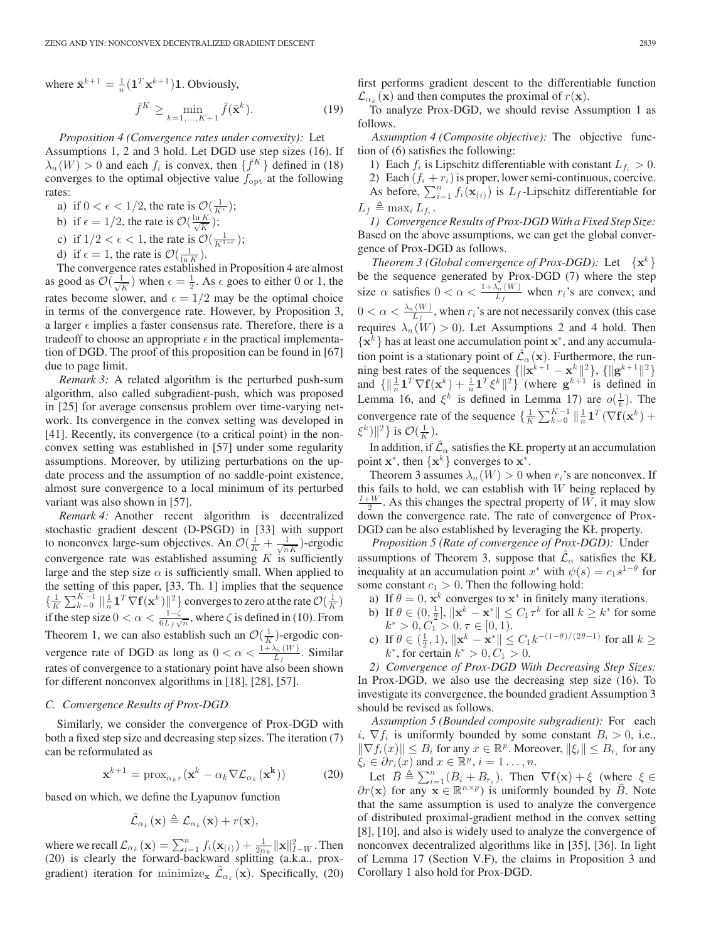where  $\bar{\mathbf{x}}^{k+1} = \frac{1}{n} (\mathbf{1}^T \mathbf{x}^{k+1}) \mathbf{1}$ . Obviously,

$$
\bar{f}^K \ge \min_{k=1,\dots,K+1} \bar{f}(\bar{\mathbf{x}}^k). \tag{19}
$$

*Proposition 4 (Convergence rates under convexity):* Let

Assumptions 1, 2 and 3 hold. Let DGD use step sizes (16). If  $\lambda_n(W) > 0$  and each  $f_i$  is convex, then  $\{\bar{f}^K\}$  defined in (18) converges to the optimal objective value  $f_{\text{opt}}$  at the following rates:

- a) if  $0 < \epsilon < 1/2$ , the rate is  $\mathcal{O}(\frac{1}{K^{\epsilon}})$ ;
- b) if  $\epsilon = 1/2$ , the rate is  $\mathcal{O}(\frac{\ln K}{\sqrt{K}})$ ;
- c) if  $1/2 < \epsilon < 1$ , the rate is  $\mathcal{O}(\frac{1}{K^{1-\epsilon}})$ ;
- d) if  $\epsilon = 1$ , the rate is  $\mathcal{O}(\frac{1}{\ln K})$ .

The convergence rates established in Proposition 4 are almost as good as  $\mathcal{O}(\frac{1}{\sqrt{K}})$  when  $\epsilon = \frac{1}{2}$ . As  $\epsilon$  goes to either 0 or 1, the rates become slower, and  $\epsilon = 1/2$  may be the optimal choice in terms of the convergence rate. However, by Proposition 3, a larger  $\epsilon$  implies a faster consensus rate. Therefore, there is a tradeoff to choose an appropriate  $\epsilon$  in the practical implementation of DGD. The proof of this proposition can be found in [67] due to page limit.

*Remark 3:* A related algorithm is the perturbed push-sum algorithm, also called subgradient-push, which was proposed in [25] for average consensus problem over time-varying network. Its convergence in the convex setting was developed in [41]. Recently, its convergence (to a critical point) in the nonconvex setting was established in [57] under some regularity assumptions. Moreover, by utilizing perturbations on the update process and the assumption of no saddle-point existence, almost sure convergence to a local minimum of its perturbed variant was also shown in [57].

*Remark 4:* Another recent algorithm is decentralized stochastic gradient descent (D-PSGD) in [33] with support to nonconvex large-sum objectives. An  $\mathcal{O}(\frac{1}{K} + \frac{1}{\sqrt{nK}})$ -ergodic convergence rate was established assuming  $K$  is sufficiently large and the step size  $\alpha$  is sufficiently small. When applied to the setting of this paper, [33, Th. 1] implies that the sequence  $\{\frac{1}{K}\sum_{k=0}^{K-1} \|\frac{1}{n}\mathbf{1}^T\nabla\mathbf{f}(\mathbf{x}^k)\|^2\}$  converges to zero at the rate  $\mathcal{O}(\frac{1}{K})$ <br>if the atom circ  $0 \le \alpha \le 1-\zeta$  where  $\zeta$  is defined in (10) From if the step size  $0 < \alpha < \frac{1-\zeta}{6L_f\sqrt{n}}$ , where  $\zeta$  is defined in (10). From Theorem 1, we can also establish such an  $\mathcal{O}(\frac{1}{K})$ -ergodic convergence rate of DGD as long as  $0 < \alpha < \frac{1 + \lambda_n(W)}{L_f}$ . Similar rates of convergence to a stationary point have also been shown for different nonconvex algorithms in [18], [28], [57].

#### *C. Convergence Results of Prox-DGD*

Similarly, we consider the convergence of Prox-DGD with both a fixed step size and decreasing step sizes. The iteration (7) can be reformulated as

$$
\mathbf{x}^{k+1} = \text{prox}_{\alpha_k r}(\mathbf{x}^k - \alpha_k \nabla \mathcal{L}_{\alpha_k}(\mathbf{x}^k))
$$
(20)

based on which, we define the Lyapunov function

$$
\hat{\mathcal{L}}_{\alpha_k}(\mathbf{x}) \triangleq \mathcal{L}_{\alpha_k}(\mathbf{x}) + r(\mathbf{x}),
$$

where we recall  $\mathcal{L}_{\alpha_k}(\mathbf{x}) = \sum_{i=1}^n f_i(\mathbf{x}_{(i)}) + \frac{1}{2\alpha_k} ||\mathbf{x}||_{I-W}^2$ . Then<br>(20) is clearly the forward-backward splitting (a k a prox-(20) is clearly the forward-backward splitting (a.k.a., proxgradient) iteration for minimize<sub>x</sub>  $\mathcal{L}_{\alpha_k}(\mathbf{x})$ . Specifically, (20) first performs gradient descent to the differentiable function  $\mathcal{L}_{\alpha_k}(\mathbf{x})$  and then computes the proximal of  $r(\mathbf{x})$ .

To analyze Prox-DGD, we should revise Assumption 1 as follows.

*Assumption 4 (Composite objective):* The objective function of (6) satisfies the following:

1) Each  $f_i$  is Lipschitz differentiable with constant  $L_{f_i} > 0$ . 2) Each  $(f_i + r_i)$  is proper, lower semi-continuous, coercive. As before,  $\sum_{i=1}^{n} f_i(\mathbf{x}_{(i)})$  is  $L_f$ -Lipschitz differentiable for  $L_f \triangleq \max_i L_{f_i}$ .

*1) Convergence Results of Prox-DGD With a Fixed Step Size:* Based on the above assumptions, we can get the global convergence of Prox-DGD as follows.

*Theorem 3 (Global convergence of Prox-DGD):* Let  $\{x^k\}$ be the sequence generated by Prox-DGD (7) where the step size  $\alpha$  satisfies  $0 < \alpha < \frac{1 + \lambda_n(W)}{L_f}$  when  $r_i$ 's are convex; and  $0 < \alpha < \frac{\lambda_n(W)}{L_f}$ , when  $r_i$ 's are not necessarily convex (this case requires  $\lambda_n(W) > 0$ ). Let Assumptions 2 and 4 hold. Then {**x**<sup>k</sup> } has at least one accumulation point **x**<sup>∗</sup>, and any accumulation point is a stationary point of  $\hat{\mathcal{L}}_{\alpha}(\mathbf{x})$ . Furthermore, the run-<br>ning best rates of the sequences  $\{||\mathbf{x}^{k+1} - \mathbf{x}^k||^2\}$ ,  $\{||\mathbf{\sigma}^{k+1}||^2\}$ ning best rates of the sequences  $\{||\mathbf{x}^{k+1} - \mathbf{x}^k||^2\}$ ,  $\{||\mathbf{g}^{k+1}||^2\}$  and  $\{||\frac{1}{n}\mathbf{1}^T\nabla\mathbf{f}(\mathbf{x}^k) + \frac{1}{n}\mathbf{1}^T\xi^k||^2\}$  (where  $\mathbf{g}^{k+1}$  is defined in Lemma 16, and  $\xi^k$  is defined in L Lemma 16, and  $\xi^k$  is defined in Lemma 17) are  $o(\frac{1}{k})$ . The convergence rate of the sequence  $\{\frac{1}{K}\sum_{k=0}^{K-1} \|\frac{1}{n}\mathbf{1}^T(\nabla f(\mathbf{x}^k)) + \epsilon^k\| \leq 2\}$  $(\xi^k)\|^2$  } is  $\mathcal{O}(\frac{1}{K})$ .

In addition, if  $\mathcal{L}_{\alpha}$  satisfies the KŁ property at an accumulation point  $\mathbf{x}^*$ , then  $\{\mathbf{x}^k\}$  converges to  $\mathbf{x}^*$ .

Theorem 3 assumes  $\lambda_n(W) > 0$  when  $r_i$ 's are nonconvex. If this fails to hold, we can establish with  $W$  being replaced by  $\frac{I+W}{2}$ . As this changes the spectral property of W, it may slow down the convergence rate. The rate of convergence of Prox-DGD can be also established by leveraging the KŁ property.

*Proposition 5 (Rate of convergence of Prox-DGD):* Under assumptions of Theorem 3, suppose that  $\hat{\mathcal{L}}_{\alpha}$  satisfies the KŁ inequality at an accumulation point  $x^*$  with  $\psi(s) = c_1 s^{1-\theta}$  for some constant  $c_1 > 0$ . Then the following hold:

- a) If  $\theta = 0$ ,  $\mathbf{x}^k$  converges to  $\mathbf{x}^*$  in finitely many iterations.
- b) If  $\theta \in (0, \frac{1}{2}], ||\mathbf{x}^k \mathbf{x}^*|| \le C_1 \tau^k$  for all  $k \ge k^*$  for some  $k^* > 0$ ,  $C_1 > 0$ ,  $\tau \in [0, 1)$  $k^* > 0, C_1 > 0, \tau \in [0, 1).$
- c) If  $\theta \in (\frac{1}{2}, 1)$ ,  $\|\mathbf{x}^{k} \mathbf{x}^{*}\| \leq C_1 k^{-(1-\theta)/(2\theta-1)}$  for all  $k \geq k^*$  for certain  $k^* > 0$ ,  $C_1 > 0$  $k^*$ , for certain  $k^* > 0, C_1 > 0$ .

*2) Convergence of Prox-DGD With Decreasing Step Sizes:* In Prox-DGD, we also use the decreasing step size (16). To investigate its convergence, the bounded gradient Assumption 3 should be revised as follows.

*Assumption 5 (Bounded composite subgradient):* For each i,  $\nabla f_i$  is uniformly bounded by some constant  $B_i > 0$ , i.e.,  $\|\nabla f_i(x)\| \leq B_i$  for any  $x \in \mathbb{R}^p$ . Moreover,  $\|\xi_i\| \leq B_{r_i}$  for any  $\xi_i \in \partial r_i(x)$  and  $x \in \mathbb{R}^p$ ,  $i = 1 \dots, n$ .

Let  $\overline{B} \triangleq \sum_{i=1}^{n} (B_i + B_{r_i})$ . Then  $\nabla f(\mathbf{x}) + \xi$  (where  $\xi \in \mathbb{R}^{n \times p}$ ) is uniformly bounded by  $\overline{B}$ . Note  $\partial r(\mathbf{x})$  for any  $\mathbf{x} \in \mathbb{R}^{n \times p}$  is uniformly bounded by  $\overline{B}$ . Note that the same assumption is used to analyze the convergence of distributed proximal-gradient method in the convex setting [8], [10], and also is widely used to analyze the convergence of nonconvex decentralized algorithms like in [35], [36]. In light of Lemma 17 (Section V.F), the claims in Proposition 3 and Corollary 1 also hold for Prox-DGD.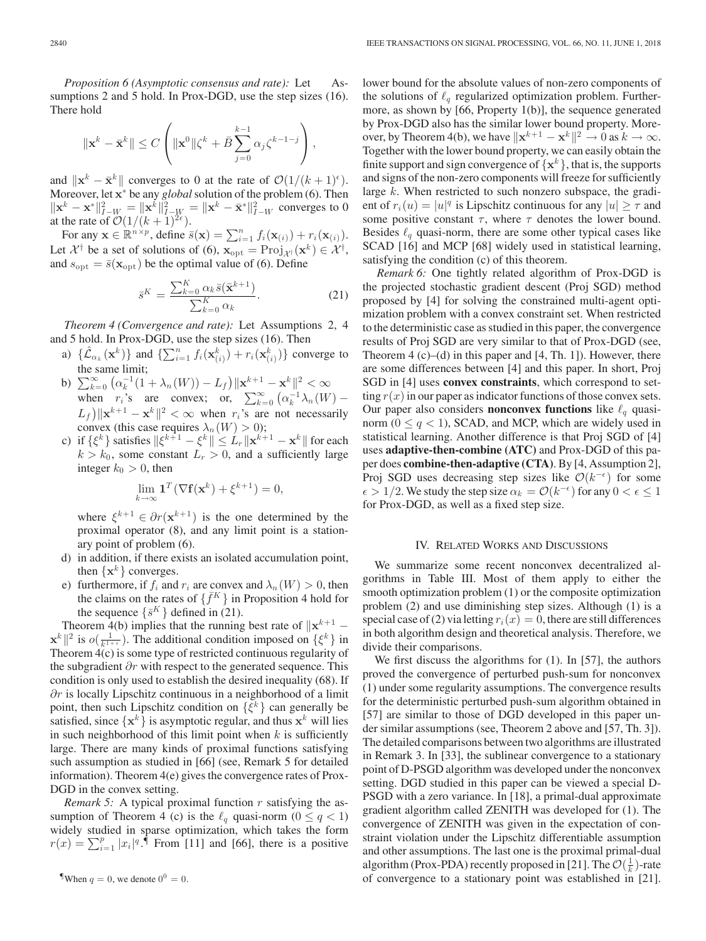*Proposition 6 (Asymptotic consensus and rate):* Let Assumptions 2 and 5 hold. In Prox-DGD, use the step sizes (16). There hold

$$
\|\mathbf{x}^{k}-\bar{\mathbf{x}}^{k}\| \leq C \left( \|\mathbf{x}^{0}\| \zeta^{k}+\bar{B} \sum_{j=0}^{k-1} \alpha_{j} \zeta^{k-1-j} \right),
$$

and  $\|\mathbf{x}^k - \bar{\mathbf{x}}^k\|$  converges to 0 at the rate of  $\mathcal{O}(1/(k+1)^{\epsilon})$ . Moreover, let  $\mathbf{x}^*$  be any *global* solution of the problem (6). Then  $\|\mathbf{x}^k - \mathbf{x}^*\|^2$   $\| \mathbf{x}^k - \mathbf{x}^*\|^2$   $\| \mathbf{x}^k - \mathbf{x}^*\|^2$  are converges to 0  $\|\mathbf{x}^{k} - \mathbf{x}^{*}\|_{I-W}^{2} = \|\mathbf{x}^{k}\|_{I-W}^{2} = \|\mathbf{x}^{k} - \bar{\mathbf{x}}^{*}\|_{I-W}^{2}$  converges to 0 at the rate of  $O(1/(k+1)^{2\epsilon})$ at the rate of  $\mathcal{O}(1/(k+1)^{2\epsilon})$ .

For any  $\mathbf{x} \in \mathbb{R}^{n \times p}$ , define  $\bar{s}(\mathbf{x}) = \sum_{i=1}^{n} f_i(\mathbf{x}_{(i)}) + r_i(\mathbf{x}_{(i)})$ . Let  $\mathcal{X}^{\dagger}$  be a set of solutions of (6),  $\mathbf{x}_{opt} = \text{Proj}_{\mathcal{X}^{\dagger}}(\mathbf{x}^{k}) \in \mathcal{X}^{\dagger}$ , and  $s_{\text{rel}} = \overline{s}(\mathbf{x}_{\text{rel}})$  be the optimal value of (6). Define and  $s_{\text{opt}} = \bar{s}(\mathbf{x}_{\text{opt}})$  be the optimal value of (6). Define

$$
\bar{s}^K = \frac{\sum_{k=0}^K \alpha_k \bar{s}(\bar{\mathbf{x}}^{k+1})}{\sum_{k=0}^K \alpha_k}.
$$
 (21)

*Theorem 4 (Convergence and rate):* Let Assumptions 2, 4 and 5 hold. In Prox-DGD, use the step sizes (16). Then

- a)  $\{\hat{\mathcal{L}}_{\alpha_k}(\mathbf{x}^k)\}\$  and  $\{\sum_{i=1}^n f_i(\mathbf{x}^k_{(i)}) + r_i(\mathbf{x}^k_{(i)})\}$  converge to the same limit;
- b)  $\sum_{k=0}^{\infty} (\alpha_k^{-1}(1 + \lambda_n(W)) L_f) ||\mathbf{x}^{k+1} \mathbf{x}^k||^2 < \infty$ <br>when  $r_i$ 's are convex; or,  $\sum_{k=0}^{\infty} (\alpha_k^{-1} \lambda_n(W) (L_f) \|\mathbf{x}^{k+1} - \mathbf{x}^k\|^2 < \infty$  when  $r_i$ 's are not necessarily convex (this case requires  $\lambda_n(W) > 0$ ): convex (this case requires  $\lambda_n(W) > 0$ );
- c) if  $\{\xi^k\}$  satisfies  $\|\xi^{k+1} \xi^k\| \leq L_r \|\mathbf{x}^{k+1} \mathbf{x}^k\|$  for each  $k > k_0$  some constant  $L_c > 0$  and a sufficiently large  $k > k_0$ , some constant  $L_r > 0$ , and a sufficiently large integer  $k_0 > 0$ , then

$$
\lim_{k \to \infty} \mathbf{1}^T (\nabla \mathbf{f}(\mathbf{x}^k) + \xi^{k+1}) = 0,
$$

where  $\xi^{k+1} \in \partial r(\mathbf{x}^{k+1})$  is the one determined by the proximal operator (8), and any limit point is a stationary point of problem (6).

- d) in addition, if there exists an isolated accumulation point, then  $\{x^k\}$  converges.
- e) furthermore, if  $f_i$  and  $r_i$  are convex and  $\lambda_n(W) > 0$ , then the claims on the rates of  $\{\bar{f}^K\}$  in Proposition 4 hold for the sequence  $\{\bar{s}^K\}$  defined in (21).

Theorem 4(b) implies that the running best rate of  $\|\mathbf{x}^{k+1} \mathbf{x}^{k} \|^2$  is  $o(\frac{1}{k^{1+\epsilon}})$ . The additional condition imposed on  $\{\xi^k\}$  in<br>Theorem  $4(c)$  is some type of restricted continuous regularity of Theorem  $\overline{4(c)}$  is some type of restricted continuous regularity of the subgradient  $\partial r$  with respect to the generated sequence. This condition is only used to establish the desired inequality (68). If  $∂r$  is locally Lipschitz continuous in a neighborhood of a limit point, then such Lipschitz condition on  $\{\xi^k\}$  can generally be satisfied, since  $\{x^k\}$  is asymptotic regular, and thus  $x^k$  will lies in such neighborhood of this limit point when  $k$  is sufficiently large. There are many kinds of proximal functions satisfying such assumption as studied in [66] (see, Remark 5 for detailed information). Theorem 4(e) gives the convergence rates of Prox-DGD in the convex setting.

*Remark 5:* A typical proximal function r satisfying the assumption of Theorem 4 (c) is the  $\ell_q$  quasi-norm ( $0 \le q < 1$ ) widely studied in sparse optimization, which takes the form  $r(x) = \sum_{i=1}^{p} |x_i|^q$ . From [11] and [66], there is a positive

 $\sqrt{\frac{9}{1}}$ When  $q = 0$ , we denote  $0^0 = 0$ .

lower bound for the absolute values of non-zero components of the solutions of  $\ell_a$  regularized optimization problem. Furthermore, as shown by [66, Property 1(b)], the sequence generated by Prox-DGD also has the similar lower bound property. Moreover, by Theorem 4(b), we have  $\|\mathbf{x}^{k+1} - \mathbf{x}^k\|^2 \to 0$  as  $k \to \infty$ . Together with the lower bound property, we can easily obtain the finite support and sign convergence of  $\{x^k\}$ , that is, the supports and signs of the non-zero components will freeze for sufficiently large k. When restricted to such nonzero subspace, the gradient of  $r_i(u) = |u|^q$  is Lipschitz continuous for any  $|u| \ge \tau$  and some positive constant  $\tau$ , where  $\tau$  denotes the lower bound. Besides  $\ell_q$  quasi-norm, there are some other typical cases like SCAD [16] and MCP [68] widely used in statistical learning, satisfying the condition (c) of this theorem.

*Remark 6:* One tightly related algorithm of Prox-DGD is the projected stochastic gradient descent (Proj SGD) method proposed by [4] for solving the constrained multi-agent optimization problem with a convex constraint set. When restricted to the deterministic case as studied in this paper, the convergence results of Proj SGD are very similar to that of Prox-DGD (see, Theorem  $4$  (c)–(d) in this paper and  $[4, Th. 1]$ ). However, there are some differences between [4] and this paper. In short, Proj SGD in [4] uses **convex constraints**, which correspond to setting  $r(x)$  in our paper as indicator functions of those convex sets. Our paper also considers **nonconvex functions** like  $\ell_q$  quasinorm ( $0 \leq q < 1$ ), SCAD, and MCP, which are widely used in statistical learning. Another difference is that Proj SGD of [4] uses **adaptive-then-combine (ATC)** and Prox-DGD of this paper does **combine-then-adaptive (CTA)**. By [4, Assumption 2], Proj SGD uses decreasing step sizes like  $\mathcal{O}(k^{-\epsilon})$  for some  $\epsilon > 1/2$ . We study the step size  $\alpha_k = \mathcal{O}(k^{-\epsilon})$  for any  $0 < \epsilon \leq 1$ for Prox-DGD, as well as a fixed step size.

# IV. RELATED WORKS AND DISCUSSIONS

We summarize some recent nonconvex decentralized algorithms in Table III. Most of them apply to either the smooth optimization problem (1) or the composite optimization problem (2) and use diminishing step sizes. Although (1) is a special case of (2) via letting  $r_i(x)=0$ , there are still differences in both algorithm design and theoretical analysis. Therefore, we divide their comparisons.

We first discuss the algorithms for  $(1)$ . In [57], the authors proved the convergence of perturbed push-sum for nonconvex (1) under some regularity assumptions. The convergence results for the deterministic perturbed push-sum algorithm obtained in [57] are similar to those of DGD developed in this paper under similar assumptions (see, Theorem 2 above and [57, Th. 3]). The detailed comparisons between two algorithms are illustrated in Remark 3. In [33], the sublinear convergence to a stationary point of D-PSGD algorithm was developed under the nonconvex setting. DGD studied in this paper can be viewed a special D-PSGD with a zero variance. In [18], a primal-dual approximate gradient algorithm called ZENITH was developed for (1). The convergence of ZENITH was given in the expectation of constraint violation under the Lipschitz differentiable assumption and other assumptions. The last one is the proximal primal-dual algorithm (Prox-PDA) recently proposed in [21]. The  $\mathcal{O}(\frac{1}{k})$ -rate of convergence to a stationary point was established in [21].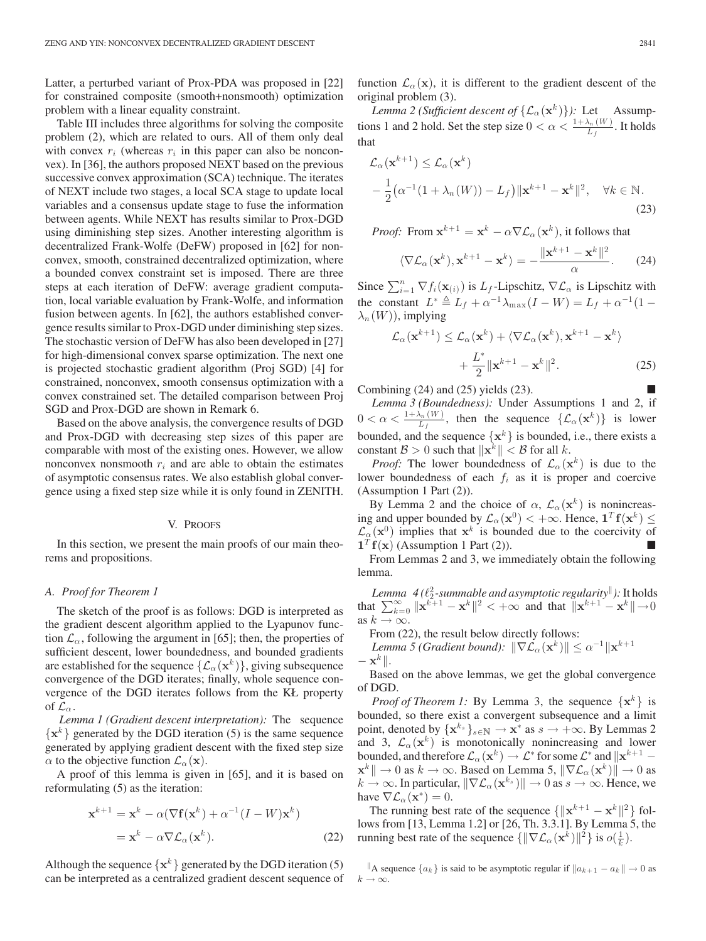Latter, a perturbed variant of Prox-PDA was proposed in [22] for constrained composite (smooth+nonsmooth) optimization problem with a linear equality constraint.

Table III includes three algorithms for solving the composite problem (2), which are related to ours. All of them only deal with convex  $r_i$  (whereas  $r_i$  in this paper can also be nonconvex). In [36], the authors proposed NEXT based on the previous successive convex approximation (SCA) technique. The iterates of NEXT include two stages, a local SCA stage to update local variables and a consensus update stage to fuse the information between agents. While NEXT has results similar to Prox-DGD using diminishing step sizes. Another interesting algorithm is decentralized Frank-Wolfe (DeFW) proposed in [62] for nonconvex, smooth, constrained decentralized optimization, where a bounded convex constraint set is imposed. There are three steps at each iteration of DeFW: average gradient computation, local variable evaluation by Frank-Wolfe, and information fusion between agents. In [62], the authors established convergence results similar to Prox-DGD under diminishing step sizes. The stochastic version of DeFW has also been developed in [27] for high-dimensional convex sparse optimization. The next one is projected stochastic gradient algorithm (Proj SGD) [4] for constrained, nonconvex, smooth consensus optimization with a convex constrained set. The detailed comparison between Proj SGD and Prox-DGD are shown in Remark 6.

Based on the above analysis, the convergence results of DGD and Prox-DGD with decreasing step sizes of this paper are comparable with most of the existing ones. However, we allow nonconvex nonsmooth  $r_i$  and are able to obtain the estimates of asymptotic consensus rates. We also establish global convergence using a fixed step size while it is only found in ZENITH.

# V. PROOFS

In this section, we present the main proofs of our main theorems and propositions.

# *A. Proof for Theorem 1*

The sketch of the proof is as follows: DGD is interpreted as the gradient descent algorithm applied to the Lyapunov function  $\mathcal{L}_{\alpha}$ , following the argument in [65]; then, the properties of sufficient descent, lower boundedness, and bounded gradients are established for the sequence  $\{\mathcal{L}_{\alpha}(\mathbf{x}^k)\}\)$ , giving subsequence convergence of the DGD iterates; finally, whole sequence convergence of the DGD iterates follows from the KŁ property of  $\mathcal{L}_{\alpha}$ .

*Lemma 1 (Gradient descent interpretation):* The sequence  $\{x^k\}$  generated by the DGD iteration (5) is the same sequence generated by applying gradient descent with the fixed step size  $\alpha$  to the objective function  $\mathcal{L}_{\alpha}(\mathbf{x})$ .

A proof of this lemma is given in [65], and it is based on reformulating (5) as the iteration:

$$
\mathbf{x}^{k+1} = \mathbf{x}^k - \alpha(\nabla \mathbf{f}(\mathbf{x}^k) + \alpha^{-1}(I - W)\mathbf{x}^k)
$$
  
= 
$$
\mathbf{x}^k - \alpha \nabla \mathcal{L}_{\alpha}(\mathbf{x}^k).
$$
 (22)

Although the sequence  $\{x^k\}$  generated by the DGD iteration (5) can be interpreted as a centralized gradient descent sequence of function  $\mathcal{L}_{\alpha}(\mathbf{x})$ , it is different to the gradient descent of the original problem (3).

*Lemma 2 (Sufficient descent of*  $\{\mathcal{L}_{\alpha}(\mathbf{x}^k)\}\)$ : Let Assumptions 1 and 2 hold. Set the step size  $0 < \alpha < \frac{1 + \lambda_n(W)}{L_f}$ . It holds that

$$
\mathcal{L}_{\alpha}(\mathbf{x}^{k+1}) \leq \mathcal{L}_{\alpha}(\mathbf{x}^{k})
$$
  
 
$$
-\frac{1}{2}(\alpha^{-1}(1+\lambda_{n}(W))-L_{f})\|\mathbf{x}^{k+1}-\mathbf{x}^{k}\|^{2}, \quad \forall k \in \mathbb{N}.
$$
 (23)

*Proof:* From  $\mathbf{x}^{k+1} = \mathbf{x}^k - \alpha \nabla \mathcal{L}_{\alpha}(\mathbf{x}^k)$ , it follows that

$$
\langle \nabla \mathcal{L}_{\alpha}(\mathbf{x}^k), \mathbf{x}^{k+1} - \mathbf{x}^k \rangle = -\frac{\|\mathbf{x}^{k+1} - \mathbf{x}^k\|^2}{\alpha}.
$$
 (24)

Since  $\sum_{i=1}^{n} \nabla f_i(\mathbf{x}_{(i)})$  is  $L_f$ -Lipschitz,  $\nabla \mathcal{L}_\alpha$  is Lipschitz with the constant  $L^* \triangleq L_f + \alpha^{-1} \lambda_{\max}(I - W) = L_f + \alpha^{-1} (1 \lambda_n(W)$ , implying

$$
\mathcal{L}_{\alpha}(\mathbf{x}^{k+1}) \leq \mathcal{L}_{\alpha}(\mathbf{x}^{k}) + \langle \nabla \mathcal{L}_{\alpha}(\mathbf{x}^{k}), \mathbf{x}^{k+1} - \mathbf{x}^{k} \rangle
$$

$$
+ \frac{L^*}{2} \|\mathbf{x}^{k+1} - \mathbf{x}^{k}\|^2. \tag{25}
$$

Combining  $(24)$  and  $(25)$  yields  $(23)$ .

*Lemma 3 (Boundedness):* Under Assumptions 1 and 2, if  $0 < \alpha < \frac{1 + \lambda_n(W)}{L_f}$ , then the sequence  $\{L_\alpha(\mathbf{x}^k)\}\)$  is lower bounded, and the sequence  $\{x^k\}$  is bounded, i.e., there exists a constant  $\mathcal{B} > 0$  such that  $\|\mathbf{x}^k\| < \mathcal{B}$  for all k.

*Proof:* The lower boundedness of  $\mathcal{L}_{\alpha}(\mathbf{x}^k)$  is due to the lower boundedness of each  $f_i$  as it is proper and coercive (Assumption 1 Part (2)).

By Lemma 2 and the choice of  $\alpha$ ,  $\mathcal{L}_{\alpha}(\mathbf{x}^k)$  is nonincreasing and upper bounded by  $\mathcal{L}_{\alpha}(\mathbf{x}^0) < +\infty$ . Hence,  $\mathbf{1}^T \mathbf{f}(\mathbf{x}^k) \leq$  $\mathcal{L}_{\alpha}(\mathbf{x}^0)$  implies that  $\mathbf{x}^k$  is bounded due to the coercivity of  $\mathbf{1}^T \mathbf{f}(\mathbf{x})$  (Assumption 1 Part (2)).  $\mathbf{1}^T \mathbf{f}(\mathbf{x})$  (Assumption 1 Part (2)). From Lemmas 2 and 3, we immediately obtain the following

lemma.

Lemma  $\,$  4 ( $\ell_2^2$ -summable and asymptotic regularity<sup>||</sup>): It holds that  $\sum_{k=0}^{\infty} ||\mathbf{x}^{k+1} - \mathbf{x}^{k}||^2 < +\infty$  and that  $||\mathbf{x}^{k+1} - \mathbf{x}^{k}|| \rightarrow 0$ as  $k \to \infty$ .

From (22), the result below directly follows:

*Lemma 5 (Gradient bound):*  $\|\nabla \mathcal{L}_{\alpha}(\mathbf{x}^k)\| \leq \alpha^{-1} \|\mathbf{x}^{k+1}\|$  $-\mathbf{x}^k$ ||.

Based on the above lemmas, we get the global convergence of DGD.

*Proof of Theorem 1:* By Lemma 3, the sequence  $\{x^k\}$  is bounded, so there exist a convergent subsequence and a limit point, denoted by  $\{x^{k_s}\}_{s\in\mathbb{N}} \to x^*$  as  $s \to +\infty$ . By Lemmas 2 and 3,  $\mathcal{L}_{\alpha}(\mathbf{x}^k)$  is monotonically nonincreasing and lower bounded, and therefore  $\mathcal{L}_{\alpha}(\mathbf{x}^k) \to \mathcal{L}^*$  for some  $\mathcal{L}^*$  and  $\|\mathbf{x}^{k+1} - \mathbf{z}^k\|$  $\mathbf{x}^k \|\rightarrow 0$  as  $k \rightarrow \infty$ . Based on Lemma 5,  $\|\nabla \mathcal{L}_{\alpha}(\mathbf{x}^k)\| \rightarrow 0$  as  $k \to \infty$ . In particular,  $\|\nabla \mathcal{L}_{\alpha}(\mathbf{x}^{k_s})\| \to 0$  as  $s \to \infty$ . Hence, we have  $\nabla \mathcal{L}_{\alpha}(\mathbf{x}^*)=0$ .

The running best rate of the sequence  $\{\|\mathbf{x}^{k+1} - \mathbf{x}^k\|^2\}$  follows from [13, Lemma 1.2] or [26, Th. 3.3.1]. By Lemma 5, the running best rate of the sequence  $\{\|\nabla \mathcal{L}_{\alpha}(\mathbf{x}^k)\|^2\}$  is  $o(\frac{1}{k})$ .

<sup>∥</sup>A sequence { $a_k$ } is said to be asymptotic regular if  $||a_{k+1} - a_k|| \to 0$  as  $k \to \infty$ .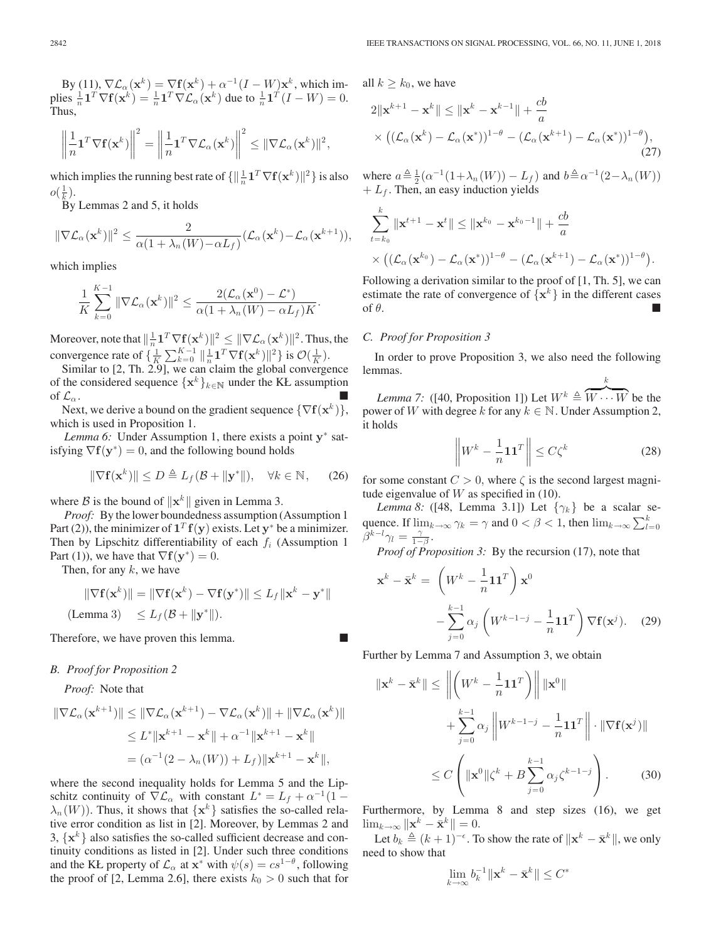By (11),  $\nabla \mathcal{L}_{\alpha}(\mathbf{x}^k) = \nabla \mathbf{f}(\mathbf{x}^k) + \alpha^{-1}(I - W)\mathbf{x}^k$ , which im-<br>plies  $\frac{1}{n} \mathbf{1}^T \nabla \mathbf{f}(\mathbf{x}^k) = \frac{1}{n} \mathbf{1}^T \nabla \mathcal{L}_{\alpha}(\mathbf{x}^k)$  due to  $\frac{1}{n} \mathbf{1}^T (I - W) = 0$ .<br>Thus Thus,

$$
\left\|\frac{1}{n}\mathbf{1}^T\nabla\mathbf{f}(\mathbf{x}^k)\right\|^2=\left\|\frac{1}{n}\mathbf{1}^T\nabla\mathcal{L}_\alpha(\mathbf{x}^k)\right\|^2\leq\|\nabla\mathcal{L}_\alpha(\mathbf{x}^k)\|^2,
$$

which implies the running best rate of  $\{\|\frac{1}{n}\mathbf{1}^T\nabla \mathbf{f}(\mathbf{x}^k)\|^2\}$  is also  $o(\frac{1}{k}).$ 

By Lemmas 2 and 5, it holds

$$
\|\nabla \mathcal{L}_{\alpha}(\mathbf{x}^k)\|^2 \leq \frac{2}{\alpha(1 + \lambda_n(W) - \alpha L_f)} (\mathcal{L}_{\alpha}(\mathbf{x}^k) - \mathcal{L}_{\alpha}(\mathbf{x}^{k+1})),
$$

which implies

$$
\frac{1}{K}\sum_{k=0}^{K-1} \|\nabla \mathcal{L}_{\alpha}(\mathbf{x}^k)\|^2 \leq \frac{2(\mathcal{L}_{\alpha}(\mathbf{x}^0)-\mathcal{L}^*)}{\alpha(1+\lambda_n(W)-\alpha L_f)K}.
$$

Moreover, note that  $\|\frac{1}{n}\mathbf{1}^T\nabla \mathbf{f}(\mathbf{x}^k)\|^2 \leq \|\nabla \mathcal{L}_{\alpha}(\mathbf{x}^k)\|^2$ . Thus, the convergence rate of  $\{\frac{1}{K}\sum_{k=0}^{K-1} \|\frac{1}{n}\mathbf{1}^T\nabla\mathbf{f}(\mathbf{x}^k)\|^2\}$  is  $\mathcal{O}(\frac{1}{K})$ .<br>Similar to [2, Th, 2,9], we can claim the global converge

Similar to [2, Th. 2.9], we can claim the global convergence of the considered sequence  $\{\mathbf x^k\}_{k\in\mathbb N}$  under the KŁ assumption of  $\mathcal{L}_{\alpha}$ . of  $\mathcal{L}_{\alpha}$ .

Next, we derive a bound on the gradient sequence  $\{\nabla f(\mathbf{x}^k)\}\$ , which is used in Proposition 1.

*Lemma 6:* Under Assumption 1, there exists a point **y**<sup>∗</sup> satisfying  $\nabla f(y^*)=0$ , and the following bound holds

$$
\|\nabla \mathbf{f}(\mathbf{x}^k)\| \le D \triangleq L_f(\mathcal{B} + \|\mathbf{y}^*\|), \quad \forall k \in \mathbb{N}, \quad (26)
$$

where B is the bound of  $\|\mathbf{x}^k\|$  given in Lemma 3.

*Proof:* By the lower boundedness assumption (Assumption 1 Part (2)), the minimizer of  $\mathbf{1}^T \mathbf{f}(\mathbf{y})$  exists. Let  $\mathbf{y}^*$  be a minimizer. Then by Lipschitz differentiability of each  $f_i$  (Assumption 1) Part (1)), we have that  $\nabla$ **f**( $\mathbf{y}^*$ ) = 0.

Then, for any  $k$ , we have

$$
\|\nabla \mathbf{f}(\mathbf{x}^k)\| = \|\nabla \mathbf{f}(\mathbf{x}^k) - \nabla \mathbf{f}(\mathbf{y}^*)\| \le L_f \|\mathbf{x}^k - \mathbf{y}^*\|
$$
  
(Lemma 3)  $\le L_f (\mathcal{B} + \|\mathbf{y}^*\|).$ 

Therefore, we have proven this lemma.

# *B. Proof for Proposition 2*

*Proof:* Note that

$$
\|\nabla \mathcal{L}_{\alpha}(\mathbf{x}^{k+1})\| \leq \|\nabla \mathcal{L}_{\alpha}(\mathbf{x}^{k+1}) - \nabla \mathcal{L}_{\alpha}(\mathbf{x}^{k})\| + \|\nabla \mathcal{L}_{\alpha}(\mathbf{x}^{k})\|
$$
  
\n
$$
\leq L^* \|\mathbf{x}^{k+1} - \mathbf{x}^k\| + \alpha^{-1} \|\mathbf{x}^{k+1} - \mathbf{x}^k\|
$$
  
\n
$$
= (\alpha^{-1}(2 - \lambda_n(W)) + L_f) \|\mathbf{x}^{k+1} - \mathbf{x}^k\|,
$$

where the second inequality holds for Lemma 5 and the Lipschitz continuity of  $\nabla \mathcal{L}_{\alpha}$  with constant  $L^* = L_f + \alpha^{-1}(1 \lambda_n(W)$ ). Thus, it shows that  $\{x^k\}$  satisfies the so-called relative error condition as list in [2]. Moreover, by Lemmas 2 and 3,  $\{x^k\}$  also satisfies the so-called sufficient decrease and continuity conditions as listed in [2]. Under such three conditions and the KŁ property of  $\mathcal{L}_{\alpha}$  at  $\mathbf{x}^*$  with  $\psi(s) = cs^{1-\theta}$ , following the proof of [2, Lemma 2.6], there exists  $k_0 > 0$  such that for

all  $k \geq k_0$ , we have

$$
2\|\mathbf{x}^{k+1} - \mathbf{x}^{k}\| \le \|\mathbf{x}^{k} - \mathbf{x}^{k-1}\| + \frac{cb}{a}
$$
  
 
$$
\times \left( (\mathcal{L}_{\alpha}(\mathbf{x}^{k}) - \mathcal{L}_{\alpha}(\mathbf{x}^{*}))^{1-\theta} - (\mathcal{L}_{\alpha}(\mathbf{x}^{k+1}) - \mathcal{L}_{\alpha}(\mathbf{x}^{*}))^{1-\theta} \right),
$$
 (27)

where  $a \triangleq \frac{1}{2} (\alpha^{-1} (1 + \lambda_n(W)) - L_f)$  and  $b \triangleq \alpha^{-1} (2 - \lambda_n(W))$  $+ L_f$ . Then, an easy induction yields

$$
\sum_{t=k_0}^k \|\mathbf{x}^{t+1} - \mathbf{x}^t\| \le \|\mathbf{x}^{k_0} - \mathbf{x}^{k_0-1}\| + \frac{cb}{a}
$$
  
\$\times \left( (\mathcal{L}\_{\alpha}(\mathbf{x}^{k\_0}) - \mathcal{L}\_{\alpha}(\mathbf{x}^\*))^{1-\theta} - (\mathcal{L}\_{\alpha}(\mathbf{x}^{k+1}) - \mathcal{L}\_{\alpha}(\mathbf{x}^\*))^{1-\theta} \right).

Following a derivation similar to the proof of [1, Th. 5], we can estimate the rate of convergence of  $\{x^k\}$  in the different cases of  $\theta$ . of  $\theta$ .

# *C. Proof for Proposition 3*

In order to prove Proposition 3, we also need the following lemmas. k

*Lemma 7:* ([40, Proposition 1]) Let  $W^k \triangleq \overbrace{W \cdots W}$  be the power of W with degree k for any  $k \in \mathbb{N}$ . Under Assumption 2, it holds

$$
\left\| W^k - \frac{1}{n} \mathbf{1} \mathbf{1}^T \right\| \le C \zeta^k \tag{28}
$$

for some constant  $C > 0$ , where  $\zeta$  is the second largest magnitude eigenvalue of  $W$  as specified in (10).

*Lemma 8:* ([48, Lemma 3.1]) Let  $\{\gamma_k\}$  be a scalar sequence. If  $\lim_{k \to \infty} \gamma_k = \gamma$  and  $0 < \beta < 1$ , then  $\lim_{k \to \infty} \sum_{l=0}^k$  $\tilde{\beta}^{k-l}\gamma_l=\frac{\gamma}{1-\beta}.$ 

*Proof of Proposition 3:* By the recursion (17), note that

$$
\mathbf{x}^{k} - \bar{\mathbf{x}}^{k} = \left( W^{k} - \frac{1}{n} \mathbf{1} \mathbf{1}^{T} \right) \mathbf{x}^{0}
$$

$$
- \sum_{j=0}^{k-1} \alpha_{j} \left( W^{k-1-j} - \frac{1}{n} \mathbf{1} \mathbf{1}^{T} \right) \nabla \mathbf{f}(\mathbf{x}^{j}). \quad (29)
$$

Further by Lemma 7 and Assumption 3, we obtain

$$
\|\mathbf{x}^{k} - \bar{\mathbf{x}}^{k}\| \le \left\| \left( W^{k} - \frac{1}{n} \mathbf{1} \mathbf{1}^{T} \right) \right\| \|\mathbf{x}^{0}\|
$$
  
+ 
$$
\sum_{j=0}^{k-1} \alpha_{j} \left\| W^{k-1-j} - \frac{1}{n} \mathbf{1} \mathbf{1}^{T} \right\| \cdot \|\nabla \mathbf{f}(\mathbf{x}^{j})\|
$$
  

$$
\le C \left( \|\mathbf{x}^{0}\| \zeta^{k} + B \sum_{j=0}^{k-1} \alpha_{j} \zeta^{k-1-j} \right). \tag{30}
$$

Furthermore, by Lemma 8 and step sizes (16), we get  $\lim_{k\to\infty} \|\mathbf{x}^k - \bar{\mathbf{x}}^k\| = 0.$ 

Let  $b_k \triangleq (k+1)^{-\epsilon}$ . To show the rate of  $\|\mathbf{x}^k - \bar{\mathbf{x}}^k\|$ , we only ged to show that need to show that

$$
\lim_{k \to \infty} b_k^{-1} \|\mathbf{x}^k - \bar{\mathbf{x}}^k\| \le C^*
$$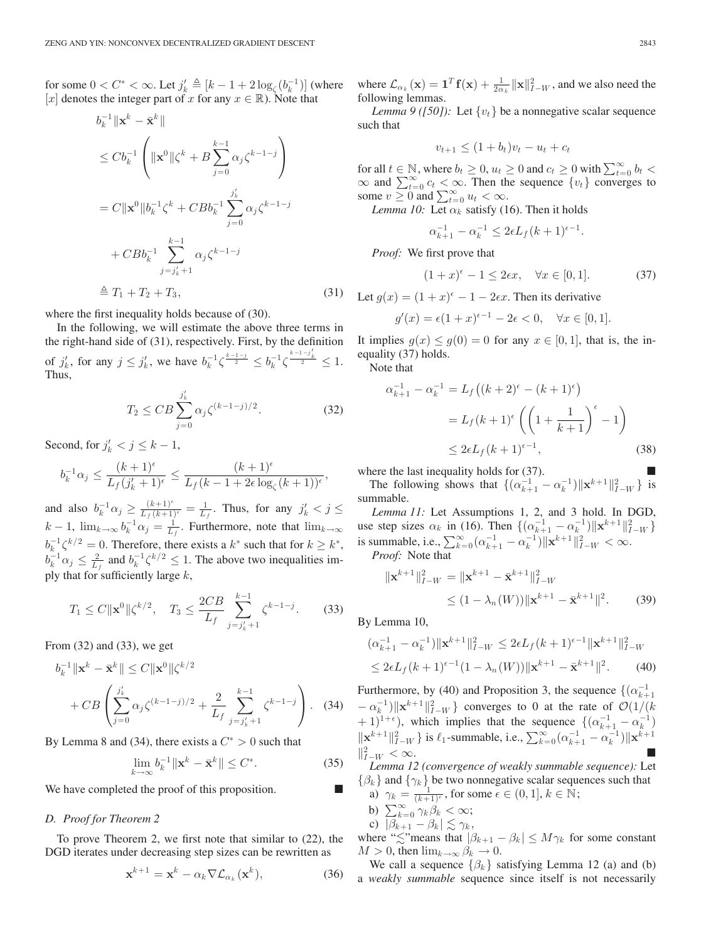for some  $0 < C^* < \infty$ . Let  $j'_k \triangleq [k - 1 + 2 \log_{\zeta}(b_k^{-1})]$  (where [x] denotes the integer part of x for any  $x \in \mathbb{R}$ ). Note that

$$
b_k^{-1} \|\mathbf{x}^k - \bar{\mathbf{x}}^k\|
$$
  
\n
$$
\leq C b_k^{-1} \left( \|\mathbf{x}^0\| \zeta^k + B \sum_{j=0}^{k-1} \alpha_j \zeta^{k-1-j} \right)
$$
  
\n
$$
= C \|\mathbf{x}^0\| b_k^{-1} \zeta^k + C B b_k^{-1} \sum_{j=0}^{j'_k} \alpha_j \zeta^{k-1-j}
$$
  
\n
$$
+ C B b_k^{-1} \sum_{j=j'_k+1}^{k-1} \alpha_j \zeta^{k-1-j}
$$
  
\n
$$
\triangleq T_1 + T_2 + T_3,
$$
\n(31)

where the first inequality holds because of (30).

In the following, we will estimate the above three terms in the right-hand side of (31), respectively. First, by the definition of  $j'_k$ , for any  $j \leq j'_k$ , we have  $b_k^{-1} \zeta^{\frac{k-1-j}{2}} \leq b_k^{-1} \zeta^{\frac{k-1-j'_k}{2}} \leq 1$ . Thus,

$$
T_2 \leq CB \sum_{j=0}^{j'_k} \alpha_j \zeta^{(k-1-j)/2}.
$$
 (32)

Second, for  $j'_k < j \leq k-1$ ,

$$
b_k^{-1} \alpha_j \leq \frac{(k+1)^{\epsilon}}{L_f(j'_k+1)^{\epsilon}} \leq \frac{(k+1)^{\epsilon}}{L_f(k-1+2\epsilon \log_{\zeta}(k+1))^{\epsilon}},
$$

and also  $b_k^{-1} \alpha_j \ge \frac{(k+1)^{\epsilon}}{L_f (k+1)^{\epsilon}} = \frac{1}{L_f}$ . Thus, for any  $j'_k < j \le$  $k-1$ ,  $\lim_{k\to\infty} b_k^{-1} \alpha_j = \frac{1}{L_f}$ . Furthermore, note that  $\lim_{k\to\infty}$  $b_k^{-1} \zeta^{k/2} = 0$ . Therefore, there exists a  $k^*$  such that for  $k \geq k^*$ ,  $b_k^{-1} \alpha_j \leq \frac{2}{L_f}$  and  $b_k^{-1} \zeta^{k/2} \leq 1$ . The above two inequalities imply that for sufficiently large  $k$ ,

$$
T_1 \le C \|\mathbf{x}^0\| \zeta^{k/2}, \quad T_3 \le \frac{2CB}{L_f} \sum_{j=j'_k+1}^{k-1} \zeta^{k-1-j}.
$$
 (33)

From (32) and (33), we get

$$
b_k^{-1} \|\mathbf{x}^k - \bar{\mathbf{x}}^k\| \le C \|\mathbf{x}^0\| \zeta^{k/2} + CB \left( \sum_{j=0}^{j'_k} \alpha_j \zeta^{(k-1-j)/2} + \frac{2}{L_f} \sum_{j=j'_k+1}^{k-1} \zeta^{k-1-j} \right). \tag{34}
$$

By Lemma 8 and (34), there exists a  $C^* > 0$  such that

$$
\lim_{k \to \infty} b_k^{-1} \|\mathbf{x}^k - \bar{\mathbf{x}}^k\| \le C^*.
$$
 (35)

We have completed the proof of this proposition.

# *D. Proof for Theorem 2*

To prove Theorem 2, we first note that similar to (22), the DGD iterates under decreasing step sizes can be rewritten as

$$
\mathbf{x}^{k+1} = \mathbf{x}^k - \alpha_k \nabla \mathcal{L}_{\alpha_k}(\mathbf{x}^k),\tag{36}
$$

where  $\mathcal{L}_{\alpha_k}(\mathbf{x}) = \mathbf{1}^T \mathbf{f}(\mathbf{x}) + \frac{1}{2\alpha_k} ||\mathbf{x}||_{I-W}^2$ , and we also need the following lemmas following lemmas.

*Lemma 9 ([50]):* Let  $\{v_t\}$  be a nonnegative scalar sequence such that

$$
v_{t+1} \leq (1+b_t)v_t - u_t + c_t
$$

for all  $t \in \mathbb{N}$ , where  $b_t \geq 0$ ,  $u_t \geq 0$  and  $c_t \geq 0$  with  $\sum_{t=0}^{\infty} b_t$  $\infty$  and  $\sum_{t=0}^{\infty} c_t \leq \infty$ . Then the sequence  $\{v_t\}$  converges to some  $v \geq 0$  and  $\sum_{t=0}^{\infty} u_t < \infty$ .

*Lemma 10:* Let  $\alpha_k$  satisfy (16). Then it holds

$$
\alpha_{k+1}^{-1} - \alpha_k^{-1} \le 2\epsilon L_f (k+1)^{\epsilon-1}.
$$

*Proof:* We first prove that

$$
(1+x)^{\epsilon} - 1 \le 2\epsilon x, \quad \forall x \in [0,1]. \tag{37}
$$

Let  $q(x) = (1 + x)^{\epsilon} - 1 - 2\epsilon x$ . Then its derivative

$$
g'(x) = \epsilon (1+x)^{\epsilon-1} - 2\epsilon < 0, \quad \forall x \in [0,1].
$$

It implies  $g(x) \le g(0) = 0$  for any  $x \in [0, 1]$ , that is, the inequality (37) holds.

Note that

$$
\alpha_{k+1}^{-1} - \alpha_k^{-1} = L_f((k+2)^{\epsilon} - (k+1)^{\epsilon})
$$
  
=  $L_f(k+1)^{\epsilon} \left( \left( 1 + \frac{1}{k+1} \right)^{\epsilon} - 1 \right)$   
 $\leq 2\epsilon L_f(k+1)^{\epsilon-1},$  (38)

where the last inequality holds for (37).

The following shows that  $\{(\alpha_{k+1}^{-1} - \alpha_k^{-1}) || \mathbf{x}^{k+1} ||_{I-W}^2\}$  is mumble summable.

*Lemma 11:* Let Assumptions 1, 2, and 3 hold. In DGD, use step sizes  $\alpha_k$  in (16). Then  $\{(\alpha_{k+1}^{-1} - \alpha_k^{-1}) ||\mathbf{x}^{k+1}||_{I-W}^2\}$ is summable, i.e.,  $\sum_{k=0}^{\infty} (\alpha_{k+1}^{-1} - \alpha_k^{-1}) ||\mathbf{x}^{k+1}||_{I-W}^2 < \infty$ .<br>*Proof:* Note that

*Proof:* Note that

$$
\|\mathbf{x}^{k+1}\|_{I-W}^2 = \|\mathbf{x}^{k+1} - \bar{\mathbf{x}}^{k+1}\|_{I-W}^2
$$
  
 
$$
\leq (1 - \lambda_n(W)) \|\mathbf{x}^{k+1} - \bar{\mathbf{x}}^{k+1}\|^2.
$$
 (39)

By Lemma 10,

$$
(\alpha_{k+1}^{-1} - \alpha_k^{-1}) \|\mathbf{x}^{k+1}\|_{I-W}^2 \le 2\epsilon L_f (k+1)^{\epsilon-1} \|\mathbf{x}^{k+1}\|_{I-W}^2
$$
  
\n
$$
\le 2\epsilon L_f (k+1)^{\epsilon-1} (1 - \lambda_n(W)) \|\mathbf{x}^{k+1} - \bar{\mathbf{x}}^{k+1}\|^2.
$$
 (40)

Furthermore, by (40) and Proposition 3, the sequence  $\{(\alpha_{k+1}^{-1})\}$  $-\alpha_k^{-1}$ )  $\|\mathbf{x}^{k+1}\|_{L^2}^2$  converges to 0 at the rate of  $\mathcal{O}(1/(k+1)^{1+\epsilon})$  which implies that the sequence  $\frac{f(c^{-1} - c^{-1})}{c^{-1}}$ + 1)<sup>1+ $\epsilon$ </sup>), which implies that the sequence  $\{(\alpha_{k+1}^{-1} - \alpha_k^{-1})$  $\|\mathbf{x}^{k+1}\|_{I-W}^2$  is  $\ell_1$ -summable, i.e.,  $\sum_{k=0}^{\infty} (\alpha_{k+1}^{-1} - \alpha_k^{-1}) \|\mathbf{x}^{k+1}\|_{I-W}^2$  $\|_{I-W}^2 < \infty.$  $\frac{2}{I-W} < \infty$ .

*Lemma 12 (convergence of weakly summable sequence):* Let  $\{\beta_k\}$  and  $\{\gamma_k\}$  be two nonnegative scalar sequences such that a)  $\gamma_k = \frac{1}{(k+1)^{\epsilon}}$ , for some  $\epsilon \in (0,1]$ ,  $k \in \mathbb{N}$ ;

- 
- b)  $\sum_{k=0}^{\infty} \gamma_k \beta_k < \infty;$ c)  $|\beta_{k+1} - \beta_k| \lesssim \gamma_k$ ,
- where " $\lesssim$ "means that  $|\beta_{k+1} \beta_k| \le M \gamma_k$  for some constant  $M > 0$ , then  $\lim_{k \to \infty} \beta_k \to 0$ .

We call a sequence  $\{\beta_k\}$  satisfying Lemma 12 (a) and (b) a *weakly summable* sequence since itself is not necessarily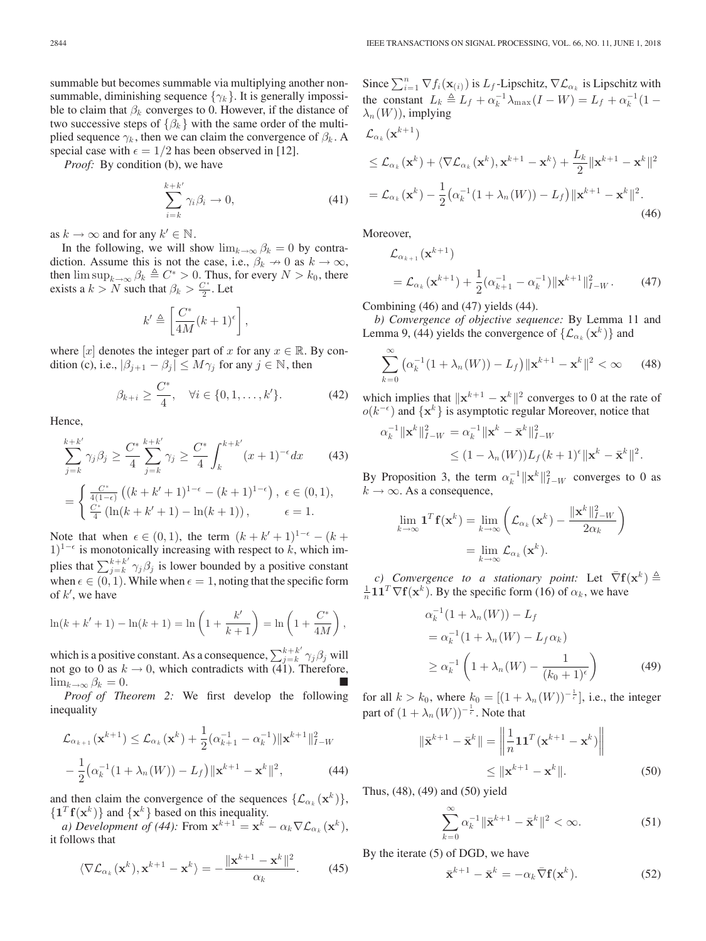summable but becomes summable via multiplying another nonsummable, diminishing sequence  $\{\gamma_k\}$ . It is generally impossible to claim that  $\beta_k$  converges to 0. However, if the distance of two successive steps of  $\{\beta_k\}$  with the same order of the multiplied sequence  $\gamma_k$ , then we can claim the convergence of  $\beta_k$ . A special case with  $\epsilon = 1/2$  has been observed in [12].

*Proof:* By condition (b), we have

$$
\sum_{i=k}^{k+k'} \gamma_i \beta_i \to 0,\tag{41}
$$

as  $k \to \infty$  and for any  $k' \in \mathbb{N}$ .

In the following, we will show  $\lim_{k\to\infty} \beta_k = 0$  by contradiction. Assume this is not the case, i.e.,  $\beta_k \to 0$  as  $k \to \infty$ , then  $\limsup_{k\to\infty} \beta_k \triangleq C^* > 0$ . Thus, for every  $N > k_0$ , there exists a  $k > N$  such that  $\beta_k > \frac{C^*}{2}$ . Let

$$
k' \triangleq \left[\frac{C^*}{4M}(k+1)^{\epsilon}\right],
$$

where [x] denotes the integer part of x for any  $x \in \mathbb{R}$ . By condition (c), i.e.,  $|\beta_{j+1} - \beta_j| \le M\gamma_j$  for any  $j \in \mathbb{N}$ , then

$$
\beta_{k+i} \ge \frac{C^*}{4}, \quad \forall i \in \{0, 1, \dots, k'\}.
$$
\n(42)

Hence,

$$
\sum_{j=k}^{k+k'} \gamma_j \beta_j \ge \frac{C^*}{4} \sum_{j=k}^{k+k'} \gamma_j \ge \frac{C^*}{4} \int_k^{k+k'} (x+1)^{-\epsilon} dx \qquad (43)
$$

$$
= \begin{cases} \frac{C^*}{4(1-\epsilon)} \left( (k+k'+1)^{1-\epsilon} - (k+1)^{1-\epsilon} \right), & \epsilon \in (0,1), \\ \frac{C^*}{4} \left( \ln(k+k'+1) - \ln(k+1) \right), & \epsilon = 1. \end{cases}
$$

Note that when  $\epsilon \in (0,1)$ , the term  $(k + k' + 1)^{1-\epsilon} - (k +$ 1)<sup>1- $\epsilon$ </sup> is monotonically increasing with respect to k, which implies that  $\sum_{j=k}^{k+k'} \gamma_j \beta_j$  is lower bounded by a positive constant when  $\epsilon \in (0, 1)$ . While when  $\epsilon = 1$ , noting that the specific form of  $k'$ , we have

$$
\ln(k + k' + 1) - \ln(k + 1) = \ln\left(1 + \frac{k'}{k + 1}\right) = \ln\left(1 + \frac{C^*}{4M}\right),
$$

which is a positive constant. As a consequence,  $\sum_{j=k}^{k+k'} \gamma_j \beta_j$  will not go to 0 as  $k \to 0$ , which contradicts with (41). Therefore,  $\lim_{k\to\infty}\beta_k=0.$ 

*Proof of Theorem 2:* We first develop the following inequality

$$
\mathcal{L}_{\alpha_{k+1}}(\mathbf{x}^{k+1}) \leq \mathcal{L}_{\alpha_k}(\mathbf{x}^k) + \frac{1}{2}(\alpha_{k+1}^{-1} - \alpha_k^{-1}) \|\mathbf{x}^{k+1}\|_{I-W}^2
$$

$$
- \frac{1}{2}(\alpha_k^{-1}(1 + \lambda_n(W)) - L_f) \|\mathbf{x}^{k+1} - \mathbf{x}^k\|^2, \tag{44}
$$

and then claim the convergence of the sequences  $\{\mathcal{L}_{\alpha_k}(\mathbf{x}^k)\}\,$ ,  ${\bf T}$ **f**( ${\bf x}^k$ )} and  ${\bf x}^k$ } based on this inequality.

*a) Development of (44):* From  $\mathbf{x}^{k+1} = \mathbf{x}^k - \alpha_k \nabla \mathcal{L}_{\alpha_k}(\mathbf{x}^k)$ , it follows that

$$
\langle \nabla \mathcal{L}_{\alpha_k}(\mathbf{x}^k), \mathbf{x}^{k+1} - \mathbf{x}^k \rangle = -\frac{\|\mathbf{x}^{k+1} - \mathbf{x}^k\|^2}{\alpha_k}.
$$
 (45)

Since  $\sum_{i=1}^{n} \nabla f_i(\mathbf{x}_{(i)})$  is  $L_f$ -Lipschitz,  $\nabla \mathcal{L}_{\alpha_k}$  is Lipschitz with the constant  $L_k \triangleq L_f + \alpha_k^{-1} \lambda_{\max}(I - W) = L_f + \alpha_k^{-1}(1 \lambda_n(W)$ , implying  $\mathcal{L}$  ( $\mathbf{x}^{k+1}$ )

$$
\mathcal{L}_{\alpha_k}(\mathbf{x}^k) + \langle \nabla \mathcal{L}_{\alpha_k}(\mathbf{x}^k), \mathbf{x}^{k+1} - \mathbf{x}^k \rangle + \frac{L_k}{2} \|\mathbf{x}^{k+1} - \mathbf{x}^k\|^2
$$
  
=  $\mathcal{L}_{\alpha_k}(\mathbf{x}^k) - \frac{1}{2} (\alpha_k^{-1} (1 + \lambda_n(W)) - L_f) \|\mathbf{x}^{k+1} - \mathbf{x}^k\|^2.$  (46)

Moreover,

$$
\mathcal{L}_{\alpha_{k+1}}(\mathbf{x}^{k+1})
$$
\n
$$
= \mathcal{L}_{\alpha_k}(\mathbf{x}^{k+1}) + \frac{1}{2}(\alpha_{k+1}^{-1} - \alpha_k^{-1}) \|\mathbf{x}^{k+1}\|_{I-W}^2.
$$
\n(47)

Combining (46) and (47) yields (44).

*b) Convergence of objective sequence:* By Lemma 11 and Lemma 9, (44) yields the convergence of  $\{\mathcal{L}_{\alpha_k}(\mathbf{x}^k)\}\$  and

$$
\sum_{k=0}^{\infty} \left( \alpha_k^{-1} (1 + \lambda_n(W)) - L_f \right) ||\mathbf{x}^{k+1} - \mathbf{x}^k||^2 < \infty \qquad (48)
$$

which implies that  $\|\mathbf{x}^{k+1} - \mathbf{x}^{k}\|^2$  converges to 0 at the rate of  $o(k^{-\epsilon})$  and  $\{x^k\}$  is asymptotic regular Moreover, notice that

$$
\alpha_k^{-1} \|\mathbf{x}^k\|_{I-W}^2 = \alpha_k^{-1} \|\mathbf{x}^k - \bar{\mathbf{x}}^k\|_{I-W}^2
$$
  

$$
\leq (1 - \lambda_n(W)) L_f(k+1)^{\epsilon} \|\mathbf{x}^k - \bar{\mathbf{x}}^k\|^2.
$$

By Proposition 3, the term  $\alpha_k^{-1} ||\mathbf{x}^k||_{I-W}^2$  converges to 0 as  $k \to \infty$ . As a consequence  $k \to \infty$ . As a consequence,

$$
\lim_{k \to \infty} \mathbf{1}^T \mathbf{f}(\mathbf{x}^k) = \lim_{k \to \infty} \left( \mathcal{L}_{\alpha_k}(\mathbf{x}^k) - \frac{\|\mathbf{x}^k\|_{I-W}^2}{2\alpha_k} \right)
$$

$$
= \lim_{k \to \infty} \mathcal{L}_{\alpha_k}(\mathbf{x}^k).
$$

*c)* Convergence to a stationary point: Let  $\nabla f(\mathbf{x}^k) \triangleq [1^T \nabla f(\mathbf{x}^k)]$ . By the specific form (16) of  $\alpha_k$ , we have  $\frac{1}{n}$ **11<sup>T</sup>** $\nabla$ **f**(**x**<sup>k</sup>). By the specific form (16) of  $\alpha_k$ , we have

$$
\alpha_k^{-1} (1 + \lambda_n(W)) - L_f
$$
  
=  $\alpha_k^{-1} (1 + \lambda_n(W) - L_f \alpha_k)$   
 $\ge \alpha_k^{-1} \left( 1 + \lambda_n(W) - \frac{1}{(k_0 + 1)^{\epsilon}} \right)$  (49)

for all  $k > k_0$ , where  $k_0 = [(1 + \lambda_n(W))^{-\frac{1}{\epsilon}}]$ , i.e., the integer part of  $(1 + \lambda_n(W))^{-\frac{1}{\epsilon}}$ . Note that

$$
\|\bar{\mathbf{x}}^{k+1} - \bar{\mathbf{x}}^k\| = \left\|\frac{1}{n}\mathbf{1}\mathbf{1}^T(\mathbf{x}^{k+1} - \mathbf{x}^k)\right\|
$$
  
\$\leq \|\mathbf{x}^{k+1} - \mathbf{x}^k\|\$. (50)

Thus, (48), (49) and (50) yield

$$
\sum_{k=0}^{\infty} \alpha_k^{-1} \|\bar{\mathbf{x}}^{k+1} - \bar{\mathbf{x}}^k\|^2 < \infty.
$$
 (51)

By the iterate (5) of DGD, we have

$$
\bar{\mathbf{x}}^{k+1} - \bar{\mathbf{x}}^k = -\alpha_k \bar{\nabla} \mathbf{f}(\mathbf{x}^k).
$$
 (52)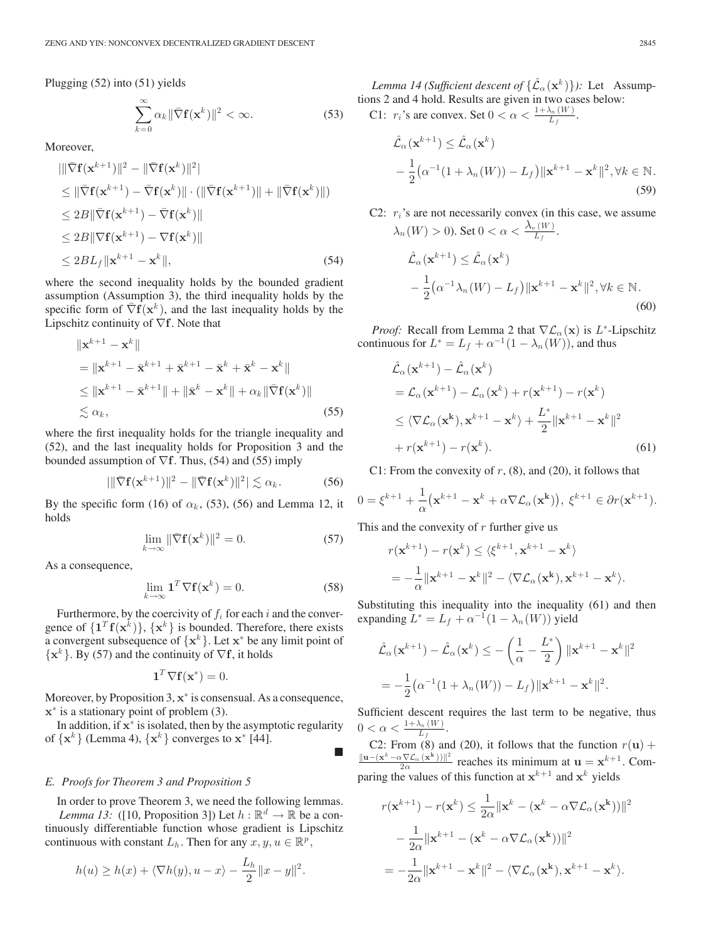Plugging (52) into (51) yields

$$
\sum_{k=0}^{\infty} \alpha_k \|\bar{\nabla} \mathbf{f}(\mathbf{x}^k)\|^2 < \infty.
$$
 (53)

Moreover,

$$
\|\bar{\nabla} \mathbf{f}(\mathbf{x}^{k+1})\|^2 - \|\bar{\nabla} \mathbf{f}(\mathbf{x}^k)\|^2\|
$$
  
\n
$$
\leq \|\bar{\nabla} \mathbf{f}(\mathbf{x}^{k+1}) - \bar{\nabla} \mathbf{f}(\mathbf{x}^k)\| \cdot (\|\bar{\nabla} \mathbf{f}(\mathbf{x}^{k+1})\| + \|\bar{\nabla} \mathbf{f}(\mathbf{x}^k)\|)
$$
  
\n
$$
\leq 2B \|\bar{\nabla} \mathbf{f}(\mathbf{x}^{k+1}) - \bar{\nabla} \mathbf{f}(\mathbf{x}^k)\|
$$
  
\n
$$
\leq 2B \|\nabla \mathbf{f}(\mathbf{x}^{k+1}) - \nabla \mathbf{f}(\mathbf{x}^k)\|
$$
  
\n
$$
\leq 2BL_f \|\mathbf{x}^{k+1} - \mathbf{x}^k\|,
$$
 (54)

where the second inequality holds by the bounded gradient assumption (Assumption 3), the third inequality holds by the specific form of  $\nabla f(\mathbf{x}^k)$ , and the last inequality holds by the Lipschitz continuity of <sup>∇</sup>**f**. Note that

$$
\|\mathbf{x}^{k+1} - \mathbf{x}^{k}\|
$$
  
\n
$$
= \|\mathbf{x}^{k+1} - \bar{\mathbf{x}}^{k+1} + \bar{\mathbf{x}}^{k+1} - \bar{\mathbf{x}}^{k} + \bar{\mathbf{x}}^{k} - \mathbf{x}^{k}\|
$$
  
\n
$$
\leq \|\mathbf{x}^{k+1} - \bar{\mathbf{x}}^{k+1}\| + \|\bar{\mathbf{x}}^{k} - \mathbf{x}^{k}\| + \alpha_{k}\|\bar{\nabla}\mathbf{f}(\mathbf{x}^{k})\|
$$
  
\n
$$
\lesssim \alpha_{k},
$$
\n(55)

where the first inequality holds for the triangle inequality and (52), and the last inequality holds for Proposition 3 and the bounded assumption of <sup>∇</sup>**f**. Thus, (54) and (55) imply

$$
\|\nabla \mathbf{f}(\mathbf{x}^{k+1})\|^2 - \|\nabla \mathbf{f}(\mathbf{x}^k)\|^2| \lesssim \alpha_k. \tag{56}
$$

By the specific form (16) of  $\alpha_k$ , (53), (56) and Lemma 12, it holds

$$
\lim_{k \to \infty} \|\bar{\nabla} \mathbf{f}(\mathbf{x}^k)\|^2 = 0.
$$
\n(57)

As a consequence,

$$
\lim_{k \to \infty} \mathbf{1}^T \nabla \mathbf{f}(\mathbf{x}^k) = 0.
$$
 (58)

щ

Furthermore, by the coercivity of  $f_i$  for each i and the convergence of  $\{1^T f(x^k)\}, \{x^k\}$  is bounded. Therefore, there exists a convergent subsequence of  $\{x^k\}$ . Let  $x^*$  be any limit point of  $\{x^k\}$ . By (57) and the continuity of  $\nabla f$ , it holds

$$
\mathbf{1}^T \nabla \mathbf{f}(\mathbf{x}^*) = 0.
$$

Moreover, by Proposition 3, **x**<sup>∗</sup> is consensual. As a consequence, **<sup>x</sup>**<sup>∗</sup> is a stationary point of problem (3).

In addition, if **<sup>x</sup>**<sup>∗</sup> is isolated, then by the asymptotic regularity of  $\{x^k\}$  (Lemma 4),  $\{x^k\}$  converges to  $x^*$  [44].

#### *E. Proofs for Theorem 3 and Proposition 5*

In order to prove Theorem 3, we need the following lemmas. *Lemma 13:* ([10, Proposition 3]) Let  $h : \mathbb{R}^d \to \mathbb{R}$  be a continuously differentiable function whose gradient is Lipschitz continuous with constant  $L_h$ . Then for any  $x, y, u \in \mathbb{R}^p$ ,

$$
h(u) \ge h(x) + \langle \nabla h(y), u - x \rangle - \frac{L_h}{2} ||x - y||^2.
$$

*Lemma 14 (Sufficient descent of*  $\{\hat{\mathcal{L}}_{\alpha}(\mathbf{x}^k)\}\)$ : Let Assumptions 2 and 4 hold. Results are given in two cases below:

C1:  $r_i$ 's are convex. Set  $0 < \alpha < \frac{1 + \lambda_n(W)}{L_f}$ .

$$
\hat{\mathcal{L}}_{\alpha}(\mathbf{x}^{k+1}) \leq \hat{\mathcal{L}}_{\alpha}(\mathbf{x}^{k})
$$
  
 
$$
-\frac{1}{2}(\alpha^{-1}(1+\lambda_{n}(W))-L_{f})\|\mathbf{x}^{k+1}-\mathbf{x}^{k}\|^{2}, \forall k \in \mathbb{N}.
$$
 (59)

C2:  $r_i$ 's are not necessarily convex (in this case, we assume  $\lambda_n(W) > 0$ ). Set  $0 < \alpha < \frac{\lambda_n(W)}{L_f}$ .  $\hat{\mathcal{L}}_{\alpha}(\mathbf{x}^{k+1}) \leq \hat{\mathcal{L}}_{\alpha}(\mathbf{x}^k)$  $-\frac{1}{2}(\alpha^{-1}\lambda_n(W) - L_f)\|\mathbf{x}^{k+1} - \mathbf{x}^k\|^2, \forall k \in \mathbb{N}.$ (60)

*Proof:* Recall from Lemma 2 that  $\nabla \mathcal{L}_{\alpha}(\mathbf{x})$  is L<sup>\*</sup>-Lipschitz continuous for  $L^* = L_f + \alpha^{-1}(1 - \lambda_n(W))$ , and thus

$$
\hat{\mathcal{L}}_{\alpha}(\mathbf{x}^{k+1}) - \hat{\mathcal{L}}_{\alpha}(\mathbf{x}^{k})
$$
\n
$$
= \mathcal{L}_{\alpha}(\mathbf{x}^{k+1}) - \mathcal{L}_{\alpha}(\mathbf{x}^{k}) + r(\mathbf{x}^{k+1}) - r(\mathbf{x}^{k})
$$
\n
$$
\leq \langle \nabla \mathcal{L}_{\alpha}(\mathbf{x}^{k}), \mathbf{x}^{k+1} - \mathbf{x}^{k} \rangle + \frac{L^{*}}{2} ||\mathbf{x}^{k+1} - \mathbf{x}^{k}||^{2}
$$
\n
$$
+ r(\mathbf{x}^{k+1}) - r(\mathbf{x}^{k}). \tag{61}
$$

C1: From the convexity of  $r$ , (8), and (20), it follows that

$$
0 = \xi^{k+1} + \frac{1}{\alpha} (\mathbf{x}^{k+1} - \mathbf{x}^k + \alpha \nabla \mathcal{L}_{\alpha}(\mathbf{x}^k)), \ \xi^{k+1} \in \partial r(\mathbf{x}^{k+1}).
$$

This and the convexity of  $r$  further give us

$$
r(\mathbf{x}^{k+1}) - r(\mathbf{x}^k) \le \langle \xi^{k+1}, \mathbf{x}^{k+1} - \mathbf{x}^k \rangle
$$
  
=  $-\frac{1}{\alpha} ||\mathbf{x}^{k+1} - \mathbf{x}^k||^2 - \langle \nabla \mathcal{L}_{\alpha}(\mathbf{x}^k), \mathbf{x}^{k+1} - \mathbf{x}^k \rangle.$ 

Substituting this inequality into the inequality (61) and then expanding  $L^* = L_f + \alpha^{-1}(1 - \lambda_n(W))$  yield

$$
\hat{\mathcal{L}}_{\alpha}(\mathbf{x}^{k+1}) - \hat{\mathcal{L}}_{\alpha}(\mathbf{x}^k) \le -\left(\frac{1}{\alpha} - \frac{L^*}{2}\right) \|\mathbf{x}^{k+1} - \mathbf{x}^k\|^2
$$

$$
= -\frac{1}{2} (\alpha^{-1} (1 + \lambda_n(W)) - L_f) \|\mathbf{x}^{k+1} - \mathbf{x}^k\|^2.
$$

Sufficient descent requires the last term to be negative, thus  $0 < \alpha < \frac{1+\lambda_n(W)}{L_f}.$ 

C2: From (8) and (20), it follows that the function  $r(\mathbf{u}) + \frac{\|\mathbf{u}-(\mathbf{x}^k-\alpha\nabla\mathcal{L}_{\alpha}(\mathbf{x}^k))\|^2}{2\alpha}$  reaches its minimum at  $\mathbf{u}=\mathbf{x}^{k+1}$ . Com-<br>paring the values of this function at  $\mathbf{x}^{k+1}$  and  $\mathbf{x}^k$ paring the values of this function at  $x^{k+1}$  and  $x^k$  yields

$$
r(\mathbf{x}^{k+1}) - r(\mathbf{x}^k) \le \frac{1}{2\alpha} ||\mathbf{x}^k - (\mathbf{x}^k - \alpha \nabla \mathcal{L}_{\alpha}(\mathbf{x}^k))||^2
$$
  

$$
- \frac{1}{2\alpha} ||\mathbf{x}^{k+1} - (\mathbf{x}^k - \alpha \nabla \mathcal{L}_{\alpha}(\mathbf{x}^k))||^2
$$
  

$$
= -\frac{1}{2\alpha} ||\mathbf{x}^{k+1} - \mathbf{x}^k||^2 - \langle \nabla \mathcal{L}_{\alpha}(\mathbf{x}^k), \mathbf{x}^{k+1} - \mathbf{x}^k \rangle.
$$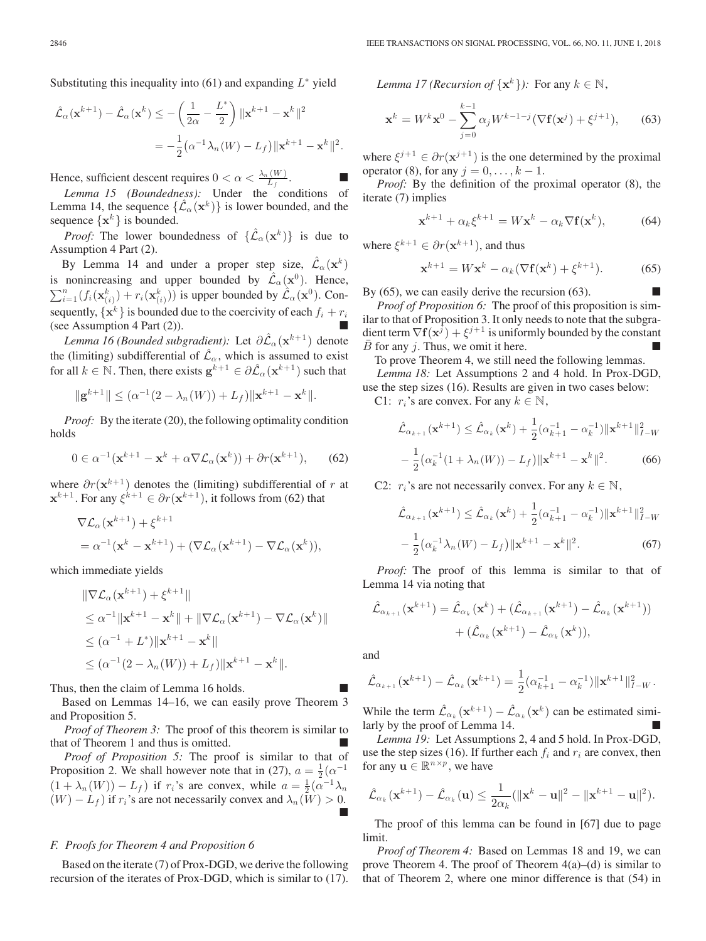Substituting this inequality into (61) and expanding  $L^*$  yield

$$
\hat{\mathcal{L}}_{\alpha}(\mathbf{x}^{k+1}) - \hat{\mathcal{L}}_{\alpha}(\mathbf{x}^k) \le -\left(\frac{1}{2\alpha} - \frac{L^*}{2}\right) \|\mathbf{x}^{k+1} - \mathbf{x}^k\|^2
$$

$$
= -\frac{1}{2} (\alpha^{-1} \lambda_n(W) - L_f) \|\mathbf{x}^{k+1} - \mathbf{x}^k\|^2.
$$

Hence, sufficient descent requires  $0 < \alpha < \frac{\lambda_n(W)}{L_f}$ .

*Lemma 15 (Boundedness):* Under the conditions of Lemma 14, the sequence  $\{\mathcal{L}_{\alpha}(\mathbf{x}^k)\}\$ is lower bounded, and the sequence  $\{x^k\}$  is bounded.

*Proof:* The lower boundedness of  $\{\hat{\mathcal{L}}_{\alpha}(\mathbf{x}^k)\}\$ is due to Assumption 4 Part (2).

By Lemma 14 and under a proper step size,  $\mathcal{L}_{\alpha}(\mathbf{x}^k)$ is nonincreasing and upper bounded by  $\mathcal{L}_{\alpha}(\mathbf{x}^0)$ . Hence,  $\sum_{i=1}^{n} (f_i(\mathbf{x}_{(i)}^k) + r_i(\mathbf{x}_{(i)}^k))$  is upper bounded by  $\mathcal{L}_{\alpha}(\mathbf{x}^0)$ . Consequently,  $\{x^k\}$  is bounded due to the coercivity of each  $f_i + r_i$ (see Assumption 4 Part (2)).

*Lemma 16 (Bounded subgradient):* Let  $\partial \hat{\mathcal{L}}_{\alpha}(\mathbf{x}^{k+1})$  denote the (limiting) subdifferential of  $\hat{\mathcal{L}}_{\alpha}$ , which is assumed to exist for all  $k \in \mathbb{N}$ . Then, there exists  $\mathbf{g}^{k+1} \in \partial \hat{\mathcal{L}}_{\alpha}(\mathbf{x}^{k+1})$  such that

$$
\|\mathbf{g}^{k+1}\| \leq (\alpha^{-1}(2-\lambda_n(W)) + L_f)\|\mathbf{x}^{k+1} - \mathbf{x}^k\|.
$$

*Proof:* By the iterate (20), the following optimality condition holds

$$
0 \in \alpha^{-1}(\mathbf{x}^{k+1} - \mathbf{x}^k + \alpha \nabla \mathcal{L}_{\alpha}(\mathbf{x}^k)) + \partial r(\mathbf{x}^{k+1}), \qquad (62)
$$

where  $\partial r(\mathbf{x}^{k+1})$  denotes the (limiting) subdifferential of r at  $\mathbf{x}^{k+1}$ . For any  $\xi^{k+1} \in \partial r(\mathbf{x}^{k+1})$ , it follows from (62) that

$$
\nabla \mathcal{L}_{\alpha}(\mathbf{x}^{k+1}) + \xi^{k+1}
$$
  
=  $\alpha^{-1}(\mathbf{x}^k - \mathbf{x}^{k+1}) + (\nabla \mathcal{L}_{\alpha}(\mathbf{x}^{k+1}) - \nabla \mathcal{L}_{\alpha}(\mathbf{x}^k)),$ 

which immediate yields

$$
\|\nabla \mathcal{L}_{\alpha}(\mathbf{x}^{k+1}) + \xi^{k+1}\|
$$
  
\n
$$
\leq \alpha^{-1} \|\mathbf{x}^{k+1} - \mathbf{x}^{k}\| + \|\nabla \mathcal{L}_{\alpha}(\mathbf{x}^{k+1}) - \nabla \mathcal{L}_{\alpha}(\mathbf{x}^{k})\|
$$
  
\n
$$
\leq (\alpha^{-1} + L^*) \|\mathbf{x}^{k+1} - \mathbf{x}^{k}\|
$$
  
\n
$$
\leq (\alpha^{-1} (2 - \lambda_{n}(W)) + L_{f}) \|\mathbf{x}^{k+1} - \mathbf{x}^{k}\|.
$$

Thus, then the claim of Lemma 16 holds.

Based on Lemmas 14–16, we can easily prove Theorem 3 and Proposition 5.

*Proof of Theorem 3:* The proof of this theorem is similar to that of Theorem 1 and thus is omitted.

*Proof of Proposition 5:* The proof is similar to that of Proposition 2. We shall however note that in (27),  $a = \frac{1}{2}(\alpha^{-1})$  $(1 + \lambda_n(W)) - L_f$ ) if r<sub>i</sub>'s are convex, while  $a = \frac{1}{2}(\alpha^{-1}\lambda_n)$  $(W) - L_f$ ) if  $r_i$ 's are not necessarily convex and  $\lambda_n(\overline{W}) > 0$ . 

#### *F. Proofs for Theorem 4 and Proposition 6*

Based on the iterate (7) of Prox-DGD, we derive the following recursion of the iterates of Prox-DGD, which is similar to (17). *Lemma 17 (Recursion of*  $\{x^k\}$ ): For any  $k \in \mathbb{N}$ ,

$$
\mathbf{x}^{k} = W^{k} \mathbf{x}^{0} - \sum_{j=0}^{k-1} \alpha_{j} W^{k-1-j} (\nabla \mathbf{f}(\mathbf{x}^{j}) + \xi^{j+1}), \qquad (63)
$$

where  $\xi^{j+1} \in \partial r(\mathbf{x}^{j+1})$  is the one determined by the proximal operator (8), for any  $j = 0, \ldots, k - 1$ .

*Proof:* By the definition of the proximal operator (8), the iterate (7) implies

$$
\mathbf{x}^{k+1} + \alpha_k \xi^{k+1} = W \mathbf{x}^k - \alpha_k \nabla \mathbf{f}(\mathbf{x}^k),
$$
 (64)

where  $\xi^{k+1} \in \partial r(\mathbf{x}^{k+1})$ , and thus

$$
\mathbf{x}^{k+1} = W\mathbf{x}^k - \alpha_k (\nabla \mathbf{f}(\mathbf{x}^k) + \xi^{k+1}).
$$
 (65)

By (65), we can easily derive the recursion (63).

*Proof of Proposition 6:* The proof of this proposition is similar to that of Proposition 3. It only needs to note that the subgradient term  $\nabla$ **f**( $\mathbf{x}^{j}$ ) +  $\xi^{j+1}$  is uniformly bounded by the constant  $\bar{B}$  for any j. Thus, we omit it here.

To prove Theorem 4, we still need the following lemmas.

*Lemma 18:* Let Assumptions 2 and 4 hold. In Prox-DGD, use the step sizes (16). Results are given in two cases below:

C1:  $r_i$ 's are convex. For any  $k \in \mathbb{N}$ ,

$$
\hat{\mathcal{L}}_{\alpha_{k+1}}(\mathbf{x}^{k+1}) \leq \hat{\mathcal{L}}_{\alpha_k}(\mathbf{x}^k) + \frac{1}{2}(\alpha_{k+1}^{-1} - \alpha_k^{-1}) \|\mathbf{x}^{k+1}\|_{I-W}^2
$$

$$
-\frac{1}{2}(\alpha_k^{-1}(1+\lambda_n(W)) - L_f) \|\mathbf{x}^{k+1} - \mathbf{x}^k\|^2. \tag{66}
$$

C2:  $r_i$ 's are not necessarily convex. For any  $k \in \mathbb{N}$ ,

$$
\hat{\mathcal{L}}_{\alpha_{k+1}}(\mathbf{x}^{k+1}) \leq \hat{\mathcal{L}}_{\alpha_k}(\mathbf{x}^k) + \frac{1}{2}(\alpha_{k+1}^{-1} - \alpha_k^{-1}) \|\mathbf{x}^{k+1}\|_{I-W}^2
$$

$$
-\frac{1}{2}(\alpha_k^{-1}\lambda_n(W) - L_f) \|\mathbf{x}^{k+1} - \mathbf{x}^k\|^2. \tag{67}
$$

*Proof:* The proof of this lemma is similar to that of Lemma 14 via noting that

$$
\hat{\mathcal{L}}_{\alpha_{k+1}}(\mathbf{x}^{k+1}) = \hat{\mathcal{L}}_{\alpha_k}(\mathbf{x}^k) + (\hat{\mathcal{L}}_{\alpha_{k+1}}(\mathbf{x}^{k+1}) - \hat{\mathcal{L}}_{\alpha_k}(\mathbf{x}^{k+1})) + (\hat{\mathcal{L}}_{\alpha_k}(\mathbf{x}^{k+1}) - \hat{\mathcal{L}}_{\alpha_k}(\mathbf{x}^k)),
$$

and

$$
\hat{\mathcal{L}}_{\alpha_{k+1}}(\mathbf{x}^{k+1}) - \hat{\mathcal{L}}_{\alpha_k}(\mathbf{x}^{k+1}) = \frac{1}{2}(\alpha_{k+1}^{-1} - \alpha_k^{-1}) \|\mathbf{x}^{k+1}\|_{I-W}^2.
$$

While the term  $\hat{\mathcal{L}}_{\alpha_k}(\mathbf{x}^{k+1}) - \hat{\mathcal{L}}_{\alpha_k}(\mathbf{x}^k)$  can be estimated similarly by the proof of Lemma 14.

*Lemma 19:* Let Assumptions 2, 4 and 5 hold. In Prox-DGD, use the step sizes (16). If further each  $f_i$  and  $r_i$  are convex, then for any  $\mathbf{u} \in \mathbb{R}^{n \times p}$ , we have

$$
\hat{\mathcal{L}}_{\alpha_k}(\mathbf{x}^{k+1}) - \hat{\mathcal{L}}_{\alpha_k}(\mathbf{u}) \leq \frac{1}{2\alpha_k}(\|\mathbf{x}^k - \mathbf{u}\|^2 - \|\mathbf{x}^{k+1} - \mathbf{u}\|^2).
$$

The proof of this lemma can be found in [67] due to page limit.

*Proof of Theorem 4:* Based on Lemmas 18 and 19, we can prove Theorem 4. The proof of Theorem  $4(a)$ –(d) is similar to that of Theorem 2, where one minor difference is that (54) in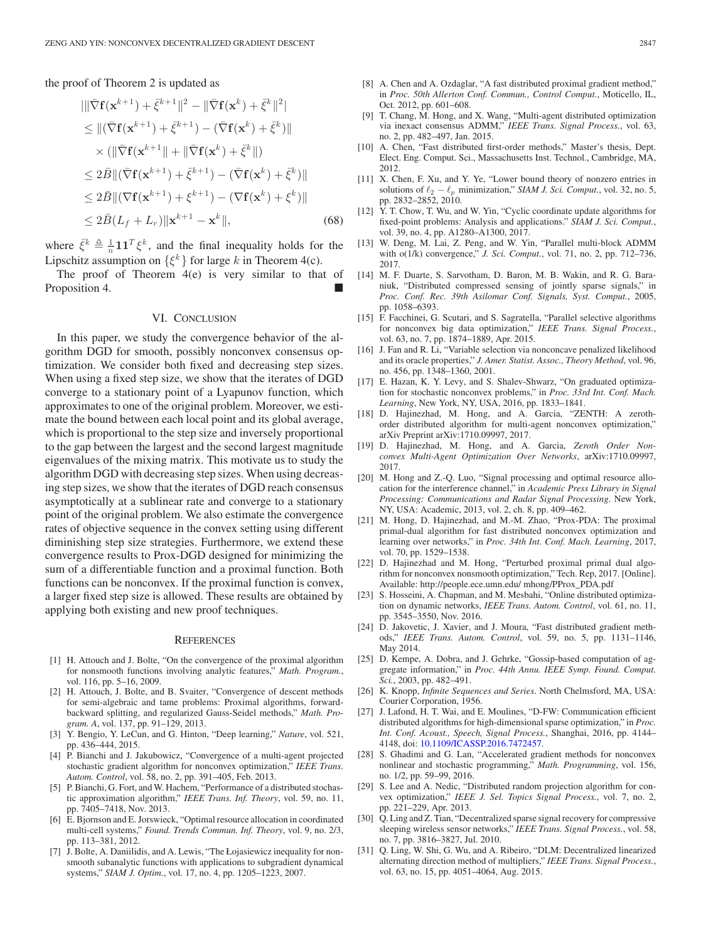the proof of Theorem 2 is updated as

$$
\|\nabla f(\mathbf{x}^{k+1}) + \bar{\xi}^{k+1}\|^2 - \|\nabla f(\mathbf{x}^k) + \bar{\xi}^k\|^2\|
$$
  
\n
$$
\leq \|(\nabla f(\mathbf{x}^{k+1}) + \bar{\xi}^{k+1}) - (\nabla f(\mathbf{x}^k) + \bar{\xi}^k)\|
$$
  
\n
$$
\times (\|\nabla f(\mathbf{x}^{k+1})\| + \|\nabla f(\mathbf{x}^k) + \bar{\xi}^k\|)
$$
  
\n
$$
\leq 2\bar{B}\|(\nabla f(\mathbf{x}^{k+1}) + \bar{\xi}^{k+1}) - (\nabla f(\mathbf{x}^k) + \bar{\xi}^k)\|
$$
  
\n
$$
\leq 2\bar{B}\|(\nabla f(\mathbf{x}^{k+1}) + \xi^{k+1}) - (\nabla f(\mathbf{x}^k) + \xi^k)\|
$$
  
\n
$$
\leq 2\bar{B}(L_f + L_r) \|\mathbf{x}^{k+1} - \mathbf{x}^k\|,
$$
 (68)

where  $\bar{\xi}^k \triangleq \frac{1}{n} \mathbf{1} \mathbf{1}^T \xi^k$ , and the final inequality holds for the Lincohitz assumption on  $\{\xi^k\}$  for large k in Theorem  $A(s)$ . Lipschitz assumption on  $\{\xi^k\}$  for large k in Theorem 4(c).

The proof of Theorem 4(e) is very similar to that of Proposition 4.

#### VI. CONCLUSION

In this paper, we study the convergence behavior of the algorithm DGD for smooth, possibly nonconvex consensus optimization. We consider both fixed and decreasing step sizes. When using a fixed step size, we show that the iterates of DGD converge to a stationary point of a Lyapunov function, which approximates to one of the original problem. Moreover, we estimate the bound between each local point and its global average, which is proportional to the step size and inversely proportional to the gap between the largest and the second largest magnitude eigenvalues of the mixing matrix. This motivate us to study the algorithm DGD with decreasing step sizes. When using decreasing step sizes, we show that the iterates of DGD reach consensus asymptotically at a sublinear rate and converge to a stationary point of the original problem. We also estimate the convergence rates of objective sequence in the convex setting using different diminishing step size strategies. Furthermore, we extend these convergence results to Prox-DGD designed for minimizing the sum of a differentiable function and a proximal function. Both functions can be nonconvex. If the proximal function is convex, a larger fixed step size is allowed. These results are obtained by applying both existing and new proof techniques.

#### **REFERENCES**

- [1] H. Attouch and J. Bolte, "On the convergence of the proximal algorithm for nonsmooth functions involving analytic features," *Math. Program.*, vol. 116, pp. 5–16, 2009.
- [2] H. Attouch, J. Bolte, and B. Svaiter, "Convergence of descent methods for semi-algebraic and tame problems: Proximal algorithms, forwardbackward splitting, and regularized Gauss-Seidel methods," *Math. Program. A*, vol. 137, pp. 91–129, 2013.
- [3] Y. Bengio, Y. LeCun, and G. Hinton, "Deep learning," *Nature*, vol. 521, pp. 436–444, 2015.
- [4] P. Bianchi and J. Jakubowicz, "Convergence of a multi-agent projected stochastic gradient algorithm for nonconvex optimization," *IEEE Trans. Autom. Control*, vol. 58, no. 2, pp. 391–405, Feb. 2013.
- [5] P. Bianchi, G. Fort, and W. Hachem, "Performance of a distributed stochastic approximation algorithm," *IEEE Trans. Inf. Theory*, vol. 59, no. 11, pp. 7405–7418, Nov. 2013.
- [6] E. Bjornson and E. Jorswieck, "Optimal resource allocation in coordinated multi-cell systems," *Found. Trends Commun. Inf. Theory*, vol. 9, no. 2/3, pp. 113–381, 2012.
- [7] J. Bolte, A. Daniilidis, and A. Lewis, "The Łojasiewicz inequality for nonsmooth subanalytic functions with applications to subgradient dynamical systems," *SIAM J. Optim.*, vol. 17, no. 4, pp. 1205–1223, 2007.
- [8] A. Chen and A. Ozdaglar, "A fast distributed proximal gradient method," in *Proc. 50th Allerton Conf. Commun., Control Comput.*, Moticello, IL, Oct. 2012, pp. 601–608.
- [9] T. Chang, M. Hong, and X. Wang, "Multi-agent distributed optimization via inexact consensus ADMM," *IEEE Trans. Signal Process.*, vol. 63, no. 2, pp. 482–497, Jan. 2015.
- [10] A. Chen, "Fast distributed first-order methods," Master's thesis, Dept. Elect. Eng. Comput. Sci., Massachusetts Inst. Technol., Cambridge, MA, 2012.
- [11] X. Chen, F. Xu, and Y. Ye, "Lower bound theory of nonzero entries in solutions of  $\ell_2 - \ell_p$  minimization," *SIAM J. Sci. Comput.*, vol. 32, no. 5, pp. 2832–2852, 2010.
- [12] Y. T. Chow, T. Wu, and W. Yin, "Cyclic coordinate update algorithms for fixed-point problems: Analysis and applications." *SIAM J. Sci. Comput.*, vol. 39, no. 4, pp. A1280–A1300, 2017.
- [13] W. Deng, M. Lai, Z. Peng, and W. Yin, "Parallel multi-block ADMM with o(1/k) convergence," *J. Sci. Comput.*, vol. 71, no. 2, pp. 712–736, 2017.
- [14] M. F. Duarte, S. Sarvotham, D. Baron, M. B. Wakin, and R. G. Baraniuk, "Distributed compressed sensing of jointly sparse signals," in *Proc. Conf. Rec. 39th Asilomar Conf. Signals, Syst. Comput.*, 2005, pp. 1058–6393.
- [15] F. Facchinei, G. Scutari, and S. Sagratella, "Parallel selective algorithms for nonconvex big data optimization," *IEEE Trans. Signal Process.*, vol. 63, no. 7, pp. 1874–1889, Apr. 2015.
- [16] J. Fan and R. Li, "Variable selection via nonconcave penalized likelihood and its oracle properties," *J. Amer. Statist. Assoc., Theory Method*, vol. 96, no. 456, pp. 1348–1360, 2001.
- [17] E. Hazan, K. Y. Levy, and S. Shalev-Shwarz, "On graduated optimization for stochastic nonconvex problems," in *Proc. 33rd Int. Conf. Mach. Learning*, New York, NY, USA, 2016, pp. 1833–1841.
- [18] D. Hajinezhad, M. Hong, and A. Garcia, "ZENTH: A zerothorder distributed algorithm for multi-agent nonconvex optimization," arXiv Preprint arXiv:1710.09997, 2017.
- [19] D. Hajinezhad, M. Hong, and A. Garcia, *Zeroth Order Nonconvex Multi-Agent Optimization Over Networks*, arXiv:1710.09997, 2017.
- [20] M. Hong and Z.-Q. Luo, "Signal processing and optimal resource allocation for the interference channel," in *Academic Press Library in Signal Processing: Communications and Radar Signal Processing*. New York, NY, USA: Academic, 2013, vol. 2, ch. 8, pp. 409–462.
- [21] M. Hong, D. Hajinezhad, and M.-M. Zhao, "Prox-PDA: The proximal primal-dual algorithm for fast distributed nonconvex optimization and learning over networks," in *Proc. 34th Int. Conf. Mach. Learning*, 2017, vol. 70, pp. 1529–1538.
- [22] D. Hajinezhad and M. Hong, "Perturbed proximal primal dual algorithm for nonconvex nonsmooth optimization," Tech. Rep, 2017. [Online]. Available: http://people.ece.umn.edu/ mhong/PProx\_PDA.pdf
- [23] S. Hosseini, A. Chapman, and M. Mesbahi, "Online distributed optimization on dynamic networks, *IEEE Trans. Autom. Control*, vol. 61, no. 11, pp. 3545–3550, Nov. 2016.
- [24] D. Jakovetic, J. Xavier, and J. Moura, "Fast distributed gradient methods," *IEEE Trans. Autom. Control*, vol. 59, no. 5, pp. 1131–1146, May 2014.
- [25] D. Kempe, A. Dobra, and J. Gehrke, "Gossip-based computation of aggregate information," in *Proc. 44th Annu. IEEE Symp. Found. Comput. Sci.*, 2003, pp. 482–491.
- [26] K. Knopp, *Infinite Sequences and Series*. North Chelmsford, MA, USA: Courier Corporation, 1956.
- [27] J. Lafond, H. T. Wai, and E. Moulines, "D-FW: Communication efficient distributed algorithms for high-dimensional sparse optimization," in *Proc. Int. Conf. Acoust., Speech, Signal Process.*, Shanghai, 2016, pp. 4144– 4148, doi: [10.1109/ICASSP.2016.7472457.](http://dx.doi.org/10.1109/ICASSP.2016.7472457)
- [28] S. Ghadimi and G. Lan, "Accelerated gradient methods for nonconvex nonlinear and stochastic programming," *Math. Programming*, vol. 156, no. 1/2, pp. 59–99, 2016.
- [29] S. Lee and A. Nedic, "Distributed random projection algorithm for convex optimization," *IEEE J. Sel. Topics Signal Process.*, vol. 7, no. 2, pp. 221–229, Apr. 2013.
- [30] Q. Ling and Z. Tian, "Decentralized sparse signal recovery for compressive sleeping wireless sensor networks," *IEEE Trans. Signal Process.*, vol. 58, no. 7, pp. 3816–3827, Jul. 2010.
- [31] Q. Ling, W. Shi, G. Wu, and A. Ribeiro, "DLM: Decentralized linearized alternating direction method of multipliers," *IEEE Trans. Signal Process.*, vol. 63, no. 15, pp. 4051–4064, Aug. 2015.